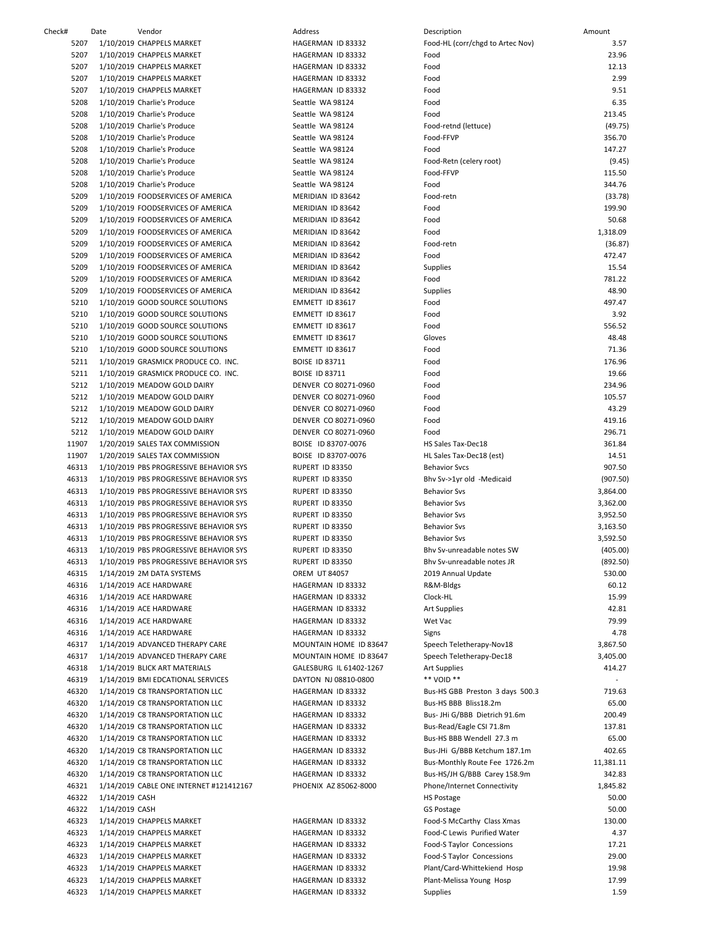| Check# | Date           | Vendor                                       | Address                                   | Description                      | Amount         |
|--------|----------------|----------------------------------------------|-------------------------------------------|----------------------------------|----------------|
| 5207   |                | 1/10/2019 CHAPPELS MARKET                    | HAGERMAN ID 83332                         | Food-HL (corr/chgd to Artec Nov) |                |
| 5207   |                | 1/10/2019 CHAPPELS MARKET                    | HAGERMAN ID 83332                         | Food                             |                |
| 5207   |                | 1/10/2019 CHAPPELS MARKET                    | HAGERMAN ID 83332                         | Food                             |                |
| 5207   |                | 1/10/2019 CHAPPELS MARKET                    | HAGERMAN ID 83332                         | Food                             |                |
| 5207   |                | 1/10/2019 CHAPPELS MARKET                    | HAGERMAN ID 83332                         | Food                             |                |
| 5208   |                |                                              |                                           | Food                             |                |
|        |                | 1/10/2019 Charlie's Produce                  | Seattle WA 98124                          |                                  |                |
| 5208   |                | 1/10/2019 Charlie's Produce                  | Seattle WA 98124                          | Food                             | 2:             |
| 5208   |                | 1/10/2019 Charlie's Produce                  | Seattle WA 98124                          | Food-retnd (lettuce)             | $\left($       |
| 5208   |                | 1/10/2019 Charlie's Produce                  | Seattle WA 98124                          | Food-FFVP                        | 3              |
| 5208   |                | 1/10/2019 Charlie's Produce                  | Seattle WA 98124                          | Food                             | 1 <sub>4</sub> |
| 5208   |                | 1/10/2019 Charlie's Produce                  | Seattle WA 98124                          | Food-Retn (celery root)          |                |
| 5208   |                | 1/10/2019 Charlie's Produce                  | Seattle WA 98124                          | Food-FFVP                        | 1              |
| 5208   |                | 1/10/2019 Charlie's Produce                  | Seattle WA 98124                          | Food                             | 3              |
| 5209   |                | 1/10/2019 FOODSERVICES OF AMERICA            | MERIDIAN ID 83642                         | Food-retn                        | 0              |
| 5209   |                | 1/10/2019 FOODSERVICES OF AMERICA            | MERIDIAN ID 83642                         | Food                             | 1 <sup>′</sup> |
| 5209   |                | 1/10/2019 FOODSERVICES OF AMERICA            | MERIDIAN ID 83642                         | Food                             |                |
| 5209   |                | 1/10/2019 FOODSERVICES OF AMERICA            | MERIDIAN ID 83642                         | Food                             | 1,3            |
| 5209   |                | 1/10/2019 FOODSERVICES OF AMERICA            | MERIDIAN ID 83642                         | Food-retn                        | $\mathfrak{c}$ |
| 5209   |                | 1/10/2019 FOODSERVICES OF AMERICA            | MERIDIAN ID 83642                         | Food                             | $\overline{4}$ |
| 5209   |                | 1/10/2019 FOODSERVICES OF AMERICA            | MERIDIAN ID 83642                         |                                  |                |
|        |                |                                              |                                           | Supplies                         |                |
| 5209   |                | 1/10/2019 FOODSERVICES OF AMERICA            | MERIDIAN ID 83642                         | Food                             | 78             |
| 5209   |                | 1/10/2019 FOODSERVICES OF AMERICA            | MERIDIAN ID 83642                         | Supplies                         |                |
| 5210   |                | 1/10/2019 GOOD SOURCE SOLUTIONS              | EMMETT ID 83617                           | Food                             | 49             |
| 5210   |                | 1/10/2019 GOOD SOURCE SOLUTIONS              | EMMETT ID 83617                           | Food                             |                |
| 5210   |                | 1/10/2019 GOOD SOURCE SOLUTIONS              | EMMETT ID 83617                           | Food                             | 55             |
| 5210   |                | 1/10/2019 GOOD SOURCE SOLUTIONS              | EMMETT ID 83617                           | Gloves                           |                |
| 5210   |                | 1/10/2019 GOOD SOURCE SOLUTIONS              | EMMETT ID 83617                           | Food                             |                |
| 5211   |                | 1/10/2019 GRASMICK PRODUCE CO. INC.          | <b>BOISE ID 83711</b>                     | Food                             | 1              |
| 5211   |                | 1/10/2019 GRASMICK PRODUCE CO. INC.          | BOISE ID 83711                            | Food                             |                |
| 5212   |                | 1/10/2019 MEADOW GOLD DAIRY                  | DENVER CO 80271-0960                      | Food                             | 2:             |
| 5212   |                | 1/10/2019 MEADOW GOLD DAIRY                  | DENVER CO 80271-0960                      | Food                             | 10             |
| 5212   |                | 1/10/2019 MEADOW GOLD DAIRY                  | DENVER CO 80271-0960                      | Food                             |                |
| 5212   |                | 1/10/2019 MEADOW GOLD DAIRY                  | DENVER CO 80271-0960                      | Food                             | 41             |
| 5212   |                | 1/10/2019 MEADOW GOLD DAIRY                  | DENVER CO 80271-0960                      | Food                             | 29             |
| 11907  |                | 1/20/2019 SALES TAX COMMISSION               | BOISE ID 83707-0076                       | HS Sales Tax-Dec18               | 3              |
| 11907  |                | 1/20/2019 SALES TAX COMMISSION               | BOISE ID 83707-0076                       | HL Sales Tax-Dec18 (est)         |                |
| 46313  |                | 1/10/2019 PBS PROGRESSIVE BEHAVIOR SYS       | RUPERT ID 83350                           | <b>Behavior Svcs</b>             | 9              |
| 46313  |                | 1/10/2019 PBS PROGRESSIVE BEHAVIOR SYS       | RUPERT ID 83350                           | Bhv Sv->1yr old -Medicaid        | (90)           |
| 46313  |                | 1/10/2019 PBS PROGRESSIVE BEHAVIOR SYS       | RUPERT ID 83350                           | <b>Behavior Svs</b>              | 3,86           |
| 46313  |                | 1/10/2019 PBS PROGRESSIVE BEHAVIOR SYS       | RUPERT ID 83350                           | <b>Behavior Sys</b>              | 3,36           |
| 46313  |                | 1/10/2019 PBS PROGRESSIVE BEHAVIOR SYS       | RUPERT ID 83350                           | <b>Behavior Sys</b>              | 3,9!           |
|        |                |                                              |                                           |                                  |                |
| 46313  |                | 1/10/2019 PBS PROGRESSIVE BEHAVIOR SYS       | RUPERT ID 83350<br><b>RUPERT ID 83350</b> | <b>Behavior Svs</b>              | 3,16<br>3,59   |
| 46313  |                | 1/10/2019 PBS PROGRESSIVE BEHAVIOR SYS       |                                           | <b>Behavior Svs</b>              |                |
|        |                | 46313 1/10/2019 PBS PROGRESSIVE BEHAVIOR SYS | RUPERT ID 83350                           | Bhy Sy-unreadable notes SW       | (4)            |
| 46313  |                | 1/10/2019 PBS PROGRESSIVE BEHAVIOR SYS       | RUPERT ID 83350                           | Bhy Sv-unreadable notes JR       | (8)            |
| 46315  |                | 1/14/2019 2M DATA SYSTEMS                    | <b>OREM UT 84057</b>                      | 2019 Annual Update               | 53             |
| 46316  |                | 1/14/2019 ACE HARDWARE                       | HAGERMAN ID 83332                         | R&M-Bldgs                        |                |
| 46316  |                | 1/14/2019 ACE HARDWARE                       | HAGERMAN ID 83332                         | Clock-HL                         |                |
| 46316  |                | 1/14/2019 ACE HARDWARE                       | HAGERMAN ID 83332                         | Art Supplies                     |                |
| 46316  |                | 1/14/2019 ACE HARDWARE                       | HAGERMAN ID 83332                         | Wet Vac                          |                |
| 46316  |                | 1/14/2019 ACE HARDWARE                       | HAGERMAN ID 83332                         | Signs                            |                |
| 46317  |                | 1/14/2019 ADVANCED THERAPY CARE              | MOUNTAIN HOME ID 83647                    | Speech Teletherapy-Nov18         | 3,86           |
| 46317  |                | 1/14/2019 ADVANCED THERAPY CARE              | MOUNTAIN HOME ID 83647                    | Speech Teletherapy-Dec18         | 3,40           |
| 46318  |                | 1/14/2019 BLICK ART MATERIALS                | GALESBURG IL 61402-1267                   | <b>Art Supplies</b>              | $\ddot{a}$     |
| 46319  |                | 1/14/2019 BMI EDCATIONAL SERVICES            | DAYTON NJ 08810-0800                      | ** VOID **                       |                |
| 46320  |                | 1/14/2019 C8 TRANSPORTATION LLC              | HAGERMAN ID 83332                         | Bus-HS GBB Preston 3 days 500.3  | 7:             |
| 46320  |                | 1/14/2019 C8 TRANSPORTATION LLC              | HAGERMAN ID 83332                         | Bus-HS BBB Bliss18.2m            |                |
| 46320  |                | 1/14/2019 C8 TRANSPORTATION LLC              | HAGERMAN ID 83332                         | Bus- JHi G/BBB Dietrich 91.6m    | 2(             |
|        |                |                                              |                                           |                                  |                |
| 46320  |                | 1/14/2019 C8 TRANSPORTATION LLC              | HAGERMAN ID 83332                         | Bus-Read/Eagle CSI 71.8m         | 13             |
| 46320  |                | 1/14/2019 C8 TRANSPORTATION LLC              | HAGERMAN ID 83332                         | Bus-HS BBB Wendell 27.3 m        |                |
| 46320  |                | 1/14/2019 C8 TRANSPORTATION LLC              | HAGERMAN ID 83332                         | Bus-JHi G/BBB Ketchum 187.1m     | 4              |
| 46320  |                | 1/14/2019 C8 TRANSPORTATION LLC              | HAGERMAN ID 83332                         | Bus-Monthly Route Fee 1726.2m    | 11,38          |
| 46320  |                | 1/14/2019 C8 TRANSPORTATION LLC              | HAGERMAN ID 83332                         | Bus-HS/JH G/BBB Carey 158.9m     | 34             |
| 46321  |                | 1/14/2019 CABLE ONE INTERNET #121412167      | PHOENIX AZ 85062-8000                     | Phone/Internet Connectivity      | 1,84           |
| 46322  | 1/14/2019 CASH |                                              |                                           | HS Postage                       |                |
| 46322  | 1/14/2019 CASH |                                              |                                           | GS Postage                       |                |
| 46323  |                | 1/14/2019 CHAPPELS MARKET                    | HAGERMAN ID 83332                         | Food-S McCarthy Class Xmas       | 1:             |
| 46323  |                | 1/14/2019 CHAPPELS MARKET                    | HAGERMAN ID 83332                         | Food-C Lewis Purified Water      |                |
| 46323  |                | 1/14/2019 CHAPPELS MARKET                    | HAGERMAN ID 83332                         | Food-S Taylor Concessions        |                |
| 46323  |                | 1/14/2019 CHAPPELS MARKET                    | HAGERMAN ID 83332                         | Food-S Taylor Concessions        |                |
| 46323  |                | 1/14/2019 CHAPPELS MARKET                    | HAGERMAN ID 83332                         | Plant/Card-Whittekiend Hosp      |                |
| 46323  |                | 1/14/2019 CHAPPELS MARKET                    | HAGERMAN ID 83332                         | Plant-Melissa Young Hosp         |                |
| 46323  |                | 1/14/2019 CHAPPELS MARKET                    | HAGERMAN ID 83332                         | Supplies                         |                |
|        |                |                                              |                                           |                                  |                |

|       | Date           | Vendor                                  | Address                 | Description                      | Amount    |
|-------|----------------|-----------------------------------------|-------------------------|----------------------------------|-----------|
| 5207  |                | 1/10/2019 CHAPPELS MARKET               | HAGERMAN ID 83332       | Food-HL (corr/chgd to Artec Nov) | 3.57      |
| 5207  |                | 1/10/2019 CHAPPELS MARKET               | HAGERMAN ID 83332       | Food                             | 23.96     |
| 5207  |                | 1/10/2019 CHAPPELS MARKET               | HAGERMAN ID 83332       | Food                             | 12.13     |
| 5207  |                | 1/10/2019 CHAPPELS MARKET               | HAGERMAN ID 83332       | Food                             | 2.99      |
| 5207  |                | 1/10/2019 CHAPPELS MARKET               | HAGERMAN ID 83332       | Food                             | 9.51      |
| 5208  |                | 1/10/2019 Charlie's Produce             | Seattle WA 98124        | Food                             | 6.35      |
| 5208  |                | 1/10/2019 Charlie's Produce             | Seattle WA 98124        | Food                             | 213.45    |
|       |                |                                         |                         |                                  |           |
| 5208  |                | 1/10/2019 Charlie's Produce             | Seattle WA 98124        | Food-retnd (lettuce)             | (49.75)   |
| 5208  |                | 1/10/2019 Charlie's Produce             | Seattle WA 98124        | Food-FFVP                        | 356.70    |
| 5208  |                | 1/10/2019 Charlie's Produce             | Seattle WA 98124        | Food                             | 147.27    |
| 5208  |                | 1/10/2019 Charlie's Produce             | Seattle WA 98124        | Food-Retn (celery root)          | (9.45)    |
| 5208  |                | 1/10/2019 Charlie's Produce             | Seattle WA 98124        | Food-FFVP                        | 115.50    |
| 5208  |                | 1/10/2019 Charlie's Produce             | Seattle WA 98124        | Food                             | 344.76    |
| 5209  |                | 1/10/2019 FOODSERVICES OF AMERICA       | MERIDIAN ID 83642       | Food-retn                        | (33.78)   |
| 5209  |                | 1/10/2019 FOODSERVICES OF AMERICA       | MERIDIAN ID 83642       | Food                             | 199.90    |
| 5209  |                | 1/10/2019 FOODSERVICES OF AMERICA       | MERIDIAN ID 83642       | Food                             | 50.68     |
| 5209  |                | 1/10/2019 FOODSERVICES OF AMERICA       | MERIDIAN ID 83642       | Food                             | 1,318.09  |
| 5209  |                | 1/10/2019 FOODSERVICES OF AMERICA       |                         | Food-retn                        | (36.87)   |
|       |                |                                         | MERIDIAN ID 83642       |                                  |           |
| 5209  |                | 1/10/2019 FOODSERVICES OF AMERICA       | MERIDIAN ID 83642       | Food                             | 472.47    |
| 5209  |                | 1/10/2019 FOODSERVICES OF AMERICA       | MERIDIAN ID 83642       | <b>Supplies</b>                  | 15.54     |
| 5209  |                | 1/10/2019 FOODSERVICES OF AMERICA       | MERIDIAN ID 83642       | Food                             | 781.22    |
| 5209  |                | 1/10/2019 FOODSERVICES OF AMERICA       | MERIDIAN ID 83642       | Supplies                         | 48.90     |
| 5210  |                | 1/10/2019 GOOD SOURCE SOLUTIONS         | EMMETT ID 83617         | Food                             | 497.47    |
| 5210  |                | 1/10/2019 GOOD SOURCE SOLUTIONS         | EMMETT ID 83617         | Food                             | 3.92      |
| 5210  |                | 1/10/2019 GOOD SOURCE SOLUTIONS         | EMMETT ID 83617         | Food                             | 556.52    |
| 5210  |                | 1/10/2019 GOOD SOURCE SOLUTIONS         | EMMETT ID 83617         | Gloves                           | 48.48     |
|       |                | 1/10/2019 GOOD SOURCE SOLUTIONS         | EMMETT ID 83617         | Food                             | 71.36     |
| 5210  |                |                                         |                         |                                  |           |
| 5211  |                | 1/10/2019 GRASMICK PRODUCE CO. INC.     | <b>BOISE ID 83711</b>   | Food                             | 176.96    |
| 5211  |                | 1/10/2019 GRASMICK PRODUCE CO. INC.     | <b>BOISE ID 83711</b>   | Food                             | 19.66     |
| 5212  |                | 1/10/2019 MEADOW GOLD DAIRY             | DENVER CO 80271-0960    | Food                             | 234.96    |
| 5212  |                | 1/10/2019 MEADOW GOLD DAIRY             | DENVER CO 80271-0960    | Food                             | 105.57    |
| 5212  |                | 1/10/2019 MEADOW GOLD DAIRY             | DENVER CO 80271-0960    | Food                             | 43.29     |
| 5212  |                | 1/10/2019 MEADOW GOLD DAIRY             | DENVER CO 80271-0960    | Food                             | 419.16    |
| 5212  |                | 1/10/2019 MEADOW GOLD DAIRY             | DENVER CO 80271-0960    | Food                             | 296.71    |
| 11907 |                | 1/20/2019 SALES TAX COMMISSION          | BOISE ID 83707-0076     | HS Sales Tax-Dec18               | 361.84    |
| 11907 |                | 1/20/2019 SALES TAX COMMISSION          | BOISE ID 83707-0076     | HL Sales Tax-Dec18 (est)         | 14.51     |
|       |                |                                         |                         |                                  |           |
| 46313 |                | 1/10/2019 PBS PROGRESSIVE BEHAVIOR SYS  | RUPERT ID 83350         | <b>Behavior Svcs</b>             | 907.50    |
| 46313 |                | 1/10/2019 PBS PROGRESSIVE BEHAVIOR SYS  | RUPERT ID 83350         | Bhv Sv->1yr old -Medicaid        | (907.50)  |
| 46313 |                | 1/10/2019 PBS PROGRESSIVE BEHAVIOR SYS  | RUPERT ID 83350         | <b>Behavior Svs</b>              | 3,864.00  |
| 46313 |                | 1/10/2019 PBS PROGRESSIVE BEHAVIOR SYS  | RUPERT ID 83350         | <b>Behavior Svs</b>              | 3,362.00  |
| 46313 |                | 1/10/2019 PBS PROGRESSIVE BEHAVIOR SYS  | RUPERT ID 83350         | <b>Behavior Svs</b>              | 3,952.50  |
| 46313 |                | 1/10/2019 PBS PROGRESSIVE BEHAVIOR SYS  | RUPERT ID 83350         | <b>Behavior Sys</b>              | 3,163.50  |
| 46313 |                | 1/10/2019 PBS PROGRESSIVE BEHAVIOR SYS  | RUPERT ID 83350         | <b>Behavior Svs</b>              | 3,592.50  |
| 46313 |                | 1/10/2019 PBS PROGRESSIVE BEHAVIOR SYS  | RUPERT ID 83350         | Bhv Sv-unreadable notes SW       | (405.00)  |
| 46313 |                | 1/10/2019 PBS PROGRESSIVE BEHAVIOR SYS  | RUPERT ID 83350         | Bhy Sy-unreadable notes JR       | (892.50)  |
| 46315 |                | 1/14/2019 2M DATA SYSTEMS               | <b>OREM UT 84057</b>    | 2019 Annual Update               | 530.00    |
| 46316 |                |                                         |                         |                                  | 60.12     |
|       |                | 1/14/2019 ACE HARDWARE                  | HAGERMAN ID 83332       | R&M-Bldgs                        |           |
| 46316 |                | 1/14/2019 ACE HARDWARE                  | HAGERMAN ID 83332       | Clock-HL                         | 15.99     |
| 46316 |                | 1/14/2019 ACE HARDWARE                  | HAGERMAN ID 83332       | <b>Art Supplies</b>              | 42.81     |
| 46316 |                | 1/14/2019 ACE HARDWARE                  | HAGERMAN ID 83332       | Wet Vac                          | 79.99     |
| 46316 |                | 1/14/2019 ACE HARDWARE                  | HAGERMAN ID 83332       | Signs                            | 4.78      |
| 46317 |                | 1/14/2019 ADVANCED THERAPY CARE         | MOUNTAIN HOME ID 83647  | Speech Teletherapy-Nov18         | 3,867.50  |
| 46317 |                | 1/14/2019 ADVANCED THERAPY CARE         | MOUNTAIN HOME ID 83647  | Speech Teletherapy-Dec18         | 3,405.00  |
| 46318 |                | 1/14/2019 BLICK ART MATERIALS           | GALESBURG IL 61402-1267 | Art Supplies                     | 414.27    |
| 46319 |                | 1/14/2019 BMI EDCATIONAL SERVICES       | DAYTON NJ 08810-0800    | ** VOID **                       | $\sim$    |
| 46320 |                | 1/14/2019 C8 TRANSPORTATION LLC         | HAGERMAN ID 83332       | Bus-HS GBB Preston 3 days 500.3  | 719.63    |
|       |                |                                         |                         |                                  |           |
| 46320 |                | 1/14/2019 C8 TRANSPORTATION LLC         | HAGERMAN ID 83332       | Bus-HS BBB Bliss18.2m            | 65.00     |
| 46320 |                | 1/14/2019 C8 TRANSPORTATION LLC         | HAGERMAN ID 83332       | Bus- JHi G/BBB Dietrich 91.6m    | 200.49    |
| 46320 |                | 1/14/2019 C8 TRANSPORTATION LLC         | HAGERMAN ID 83332       | Bus-Read/Eagle CSI 71.8m         | 137.81    |
| 46320 |                | 1/14/2019 C8 TRANSPORTATION LLC         | HAGERMAN ID 83332       | Bus-HS BBB Wendell 27.3 m        | 65.00     |
| 46320 |                | 1/14/2019 C8 TRANSPORTATION LLC         | HAGERMAN ID 83332       | Bus-JHi G/BBB Ketchum 187.1m     | 402.65    |
| 46320 |                | 1/14/2019 C8 TRANSPORTATION LLC         | HAGERMAN ID 83332       | Bus-Monthly Route Fee 1726.2m    | 11,381.11 |
| 46320 |                | 1/14/2019 C8 TRANSPORTATION LLC         | HAGERMAN ID 83332       | Bus-HS/JH G/BBB Carey 158.9m     | 342.83    |
| 46321 |                | 1/14/2019 CABLE ONE INTERNET #121412167 | PHOENIX AZ 85062-8000   | Phone/Internet Connectivity      | 1,845.82  |
| 46322 | 1/14/2019 CASH |                                         |                         | <b>HS Postage</b>                | 50.00     |
|       | 1/14/2019 CASH |                                         |                         |                                  |           |
| 46322 |                |                                         |                         | GS Postage                       | 50.00     |
| 46323 |                | 1/14/2019 CHAPPELS MARKET               | HAGERMAN ID 83332       | Food-S McCarthy Class Xmas       | 130.00    |
| 46323 |                | 1/14/2019 CHAPPELS MARKET               | HAGERMAN ID 83332       | Food-C Lewis Purified Water      | 4.37      |
| 46323 |                | 1/14/2019 CHAPPELS MARKET               | HAGERMAN ID 83332       | Food-S Taylor Concessions        | 17.21     |
| 46323 |                | 1/14/2019 CHAPPELS MARKET               | HAGERMAN ID 83332       | Food-S Taylor Concessions        | 29.00     |
| 46323 |                | 1/14/2019 CHAPPELS MARKET               | HAGERMAN ID 83332       | Plant/Card-Whittekiend Hosp      | 19.98     |
| 46323 |                | 1/14/2019 CHAPPELS MARKET               | HAGERMAN ID 83332       | Plant-Melissa Young Hosp         | 17.99     |
| 46323 |                | 1/14/2019 CHAPPELS MARKET               | HAGERMAN ID 83332       | Supplies                         | 1.59      |
|       |                |                                         |                         |                                  |           |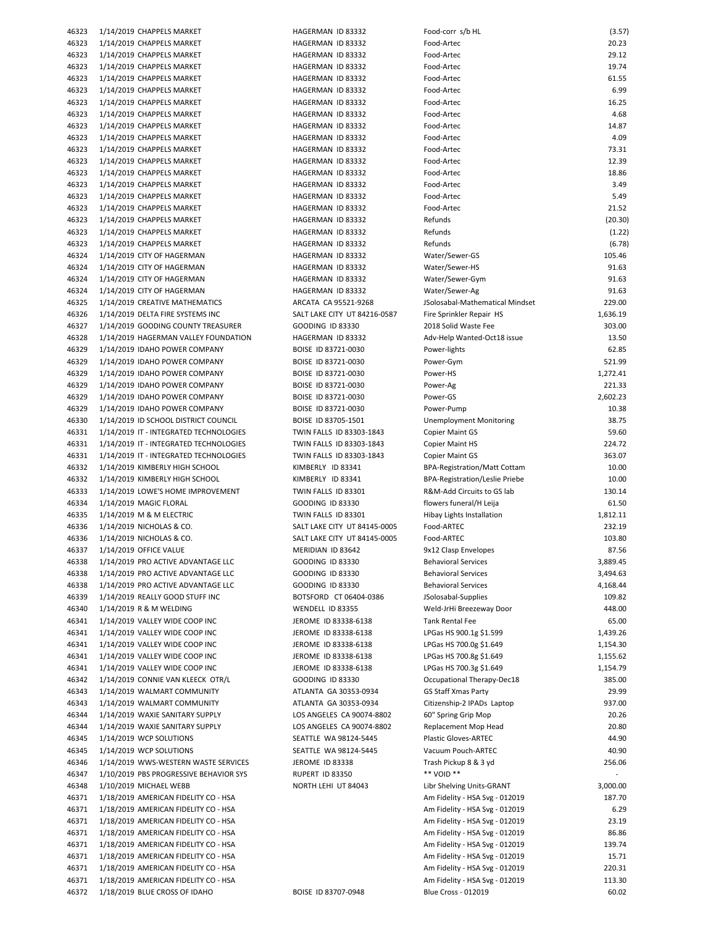| 46323          | 1/14/2019 CHAPPELS MARKET                                             |
|----------------|-----------------------------------------------------------------------|
| 46323          | 1/14/2019 CHAPPELS MARKET                                             |
| 46323          | 1/14/2019 CHAPPELS MARKET                                             |
| 46323          | 1/14/2019 CHAPPELS MARKET                                             |
| 46323          | 1/14/2019 CHAPPELS MARKET                                             |
| 46323          |                                                                       |
|                | 1/14/2019 CHAPPELS MARKET                                             |
| 46323          | 1/14/2019 CHAPPELS MARKET                                             |
| 46323          | 1/14/2019 CHAPPELS MARKET                                             |
| 46323          | 1/14/2019 CHAPPELS MARKET                                             |
| 46323          | 1/14/2019 CHAPPELS MARKET                                             |
| 46323          | 1/14/2019 CHAPPELS MARKET                                             |
|                |                                                                       |
| 46323          | 1/14/2019 CHAPPELS MARKET                                             |
| 46323          | 1/14/2019 CHAPPELS MARKET                                             |
| 46323          | 1/14/2019 CHAPPELS MARKET                                             |
| 46323          | 1/14/2019 CHAPPELS MARKET                                             |
| 46323          | 1/14/2019 CHAPPELS MARKET                                             |
| 46323          | 1/14/2019 CHAPPELS MARKET                                             |
|                |                                                                       |
| 46323          | 1/14/2019 CHAPPELS MARKET                                             |
| 46323          | 1/14/2019 CHAPPELS MARKET                                             |
| 46324          | 1/14/2019 CITY OF HAGERMAN                                            |
| 46324          | 1/14/2019 CITY OF HAGERMAN                                            |
| 46324          | 1/14/2019 CITY OF HAGERMAN                                            |
| 46324          | 1/14/2019 CITY OF HAGERMAN                                            |
| 46325          | 1/14/2019 CREATIVE MATHEMATICS                                        |
|                |                                                                       |
| 46326          | 1/14/2019 DELTA FIRE SYSTEMS INC                                      |
| 46327          | 1/14/2019 GOODING COUNTY TREASURER                                    |
| 46328          | 1/14/2019 HAGERMAN VALLEY FOUNDATION                                  |
| 46329          | 1/14/2019 IDAHO POWER COMPANY                                         |
| 46329          | 1/14/2019 IDAHO POWER COMPANY                                         |
| 46329          | 1/14/2019 IDAHO POWER COMPANY                                         |
|                |                                                                       |
| 46329          | 1/14/2019 IDAHO POWER COMPANY                                         |
| 46329          | 1/14/2019 IDAHO POWER COMPANY                                         |
| 46329          | 1/14/2019 IDAHO POWER COMPANY                                         |
| 46330          | 1/14/2019 ID SCHOOL DISTRICT COUNCIL                                  |
| 46331          | 1/14/2019 IT - INTEGRATED TECHNOLOGIES                                |
| 46331          | 1/14/2019 IT - INTEGRATED TECHNOLOGIES                                |
|                |                                                                       |
|                |                                                                       |
| 46331          | 1/14/2019 IT - INTEGRATED TECHNOLOGIES                                |
| 46332          | 1/14/2019 KIMBERLY HIGH SCHOOL                                        |
| 46332          | 1/14/2019 KIMBERLY HIGH SCHOOL                                        |
| 46333          | 1/14/2019 LOWE'S HOME IMPROVEMENT                                     |
| 46334          | 1/14/2019 MAGIC FLORAL                                                |
| 46335          |                                                                       |
|                | 1/14/2019 M & M ELECTRIC                                              |
| 46336          | 1/14/2019 NICHOLAS & CO.                                              |
| 46336          | 1/14/2019 NICHOLAS & CO.                                              |
| 46337          | 1/14/2019 OFFICE VALUE                                                |
| 46338          | 1/14/2019 PRO ACTIVE ADVANTAGE LLC                                    |
| 46338          | 1/14/2019 PRO ACTIVE ADVANTAGE LLC                                    |
| 46338          | 1/14/2019 PRO ACTIVE ADVANTAGE LLC                                    |
|                |                                                                       |
| 46339          | 1/14/2019 REALLY GOOD STUFF INC                                       |
| 46340          | 1/14/2019 R & M WELDING                                               |
| 46341          | 1/14/2019 VALLEY WIDE COOP INC                                        |
| 46341          | 1/14/2019 VALLEY WIDE COOP INC                                        |
| 46341          | 1/14/2019 VALLEY WIDE COOP INC                                        |
| 46341          | 1/14/2019 VALLEY WIDE COOP INC                                        |
| 46341          | 1/14/2019 VALLEY WIDE COOP INC                                        |
| 46342          |                                                                       |
|                | 1/14/2019 CONNIE VAN KLEECK OTR/L                                     |
| 46343          | 1/14/2019 WALMART COMMUNITY                                           |
| 46343          | 1/14/2019 WALMART COMMUNITY                                           |
| 46344          | 1/14/2019 WAXIE SANITARY SUPPLY                                       |
| 46344          | 1/14/2019 WAXIE SANITARY SUPPLY                                       |
| 46345          | 1/14/2019 WCP SOLUTIONS                                               |
| 46345          | 1/14/2019 WCP SOLUTIONS                                               |
|                |                                                                       |
| 46346          | 1/14/2019 WWS-WESTERN WASTE SERVICES                                  |
| 46347          | 1/10/2019 PBS PROGRESSIVE BEHAVIOR SYS                                |
| 46348          | 1/10/2019 MICHAEL WEBB                                                |
| 46371          | 1/18/2019 AMERICAN FIDELITY CO - HSA                                  |
| 46371          | 1/18/2019 AMERICAN FIDELITY CO - HSA                                  |
| 46371          | 1/18/2019 AMERICAN FIDELITY CO - HSA                                  |
| 46371          | 1/18/2019 AMERICAN FIDELITY CO - HSA                                  |
|                |                                                                       |
| 46371          | 1/18/2019 AMERICAN FIDELITY CO - HSA                                  |
| 46371          | 1/18/2019 AMERICAN FIDELITY CO - HSA                                  |
| 46371          | 1/18/2019 AMERICAN FIDELITY CO - HSA                                  |
| 46371<br>46372 | 1/18/2019 AMERICAN FIDELITY CO - HSA<br>1/18/2019 BLUE CROSS OF IDAHO |

| 46323          | 1/14/2019 CHAPPELS MARKET                              | HAGERMAN ID 83332                                 | Food-corr s/b HL                    | (3.57)          |
|----------------|--------------------------------------------------------|---------------------------------------------------|-------------------------------------|-----------------|
| 46323          | 1/14/2019 CHAPPELS MARKET                              | HAGERMAN ID 83332                                 | Food-Artec                          | 20.23           |
| 46323          | 1/14/2019 CHAPPELS MARKET                              | HAGERMAN ID 83332                                 | Food-Artec                          | 29.12           |
| 46323          | 1/14/2019 CHAPPELS MARKET                              | HAGERMAN ID 83332                                 | Food-Artec                          | 19.74           |
| 46323          | 1/14/2019 CHAPPELS MARKET                              | HAGERMAN ID 83332                                 | Food-Artec                          | 61.55           |
| 46323          | 1/14/2019 CHAPPELS MARKET                              | HAGERMAN ID 83332                                 | Food-Artec                          | 6.99            |
| 46323          | 1/14/2019 CHAPPELS MARKET                              | HAGERMAN ID 83332                                 | Food-Artec                          | 16.25           |
| 46323          | 1/14/2019 CHAPPELS MARKET                              | HAGERMAN ID 83332                                 | Food-Artec                          | 4.68            |
| 46323          | 1/14/2019 CHAPPELS MARKET                              | HAGERMAN ID 83332                                 | Food-Artec                          | 14.87           |
| 46323          | 1/14/2019 CHAPPELS MARKET                              | HAGERMAN ID 83332                                 | Food-Artec<br>Food-Artec            | 4.09            |
| 46323          | 1/14/2019 CHAPPELS MARKET                              | HAGERMAN ID 83332<br>HAGERMAN ID 83332            | Food-Artec                          | 73.31<br>12.39  |
| 46323<br>46323 | 1/14/2019 CHAPPELS MARKET<br>1/14/2019 CHAPPELS MARKET | HAGERMAN ID 83332                                 | Food-Artec                          | 18.86           |
| 46323          | 1/14/2019 CHAPPELS MARKET                              | HAGERMAN ID 83332                                 | Food-Artec                          | 3.49            |
| 46323          | 1/14/2019 CHAPPELS MARKET                              | HAGERMAN ID 83332                                 | Food-Artec                          | 5.49            |
| 46323          | 1/14/2019 CHAPPELS MARKET                              | HAGERMAN ID 83332                                 | Food-Artec                          | 21.52           |
| 46323          | 1/14/2019 CHAPPELS MARKET                              | HAGERMAN ID 83332                                 | Refunds                             | (20.30)         |
| 46323          | 1/14/2019 CHAPPELS MARKET                              | HAGERMAN ID 83332                                 | Refunds                             | (1.22)          |
| 46323          | 1/14/2019 CHAPPELS MARKET                              | HAGERMAN ID 83332                                 | Refunds                             | (6.78)          |
| 46324          | 1/14/2019 CITY OF HAGERMAN                             | HAGERMAN ID 83332                                 | Water/Sewer-GS                      | 105.46          |
| 46324          | 1/14/2019 CITY OF HAGERMAN                             | HAGERMAN ID 83332                                 | Water/Sewer-HS                      | 91.63           |
| 46324          | 1/14/2019 CITY OF HAGERMAN                             | HAGERMAN ID 83332                                 | Water/Sewer-Gym                     | 91.63           |
| 46324          | 1/14/2019 CITY OF HAGERMAN                             | HAGERMAN ID 83332                                 | Water/Sewer-Ag                      | 91.63           |
| 46325          | 1/14/2019 CREATIVE MATHEMATICS                         | ARCATA CA 95521-9268                              | JSolosabal-Mathematical Mindset     | 229.00          |
| 46326          | 1/14/2019 DELTA FIRE SYSTEMS INC                       | SALT LAKE CITY UT 84216-0587                      | Fire Sprinkler Repair HS            | 1,636.19        |
| 46327          | 1/14/2019 GOODING COUNTY TREASURER                     | <b>GOODING ID 83330</b>                           | 2018 Solid Waste Fee                | 303.00          |
| 46328          | 1/14/2019 HAGERMAN VALLEY FOUNDATION                   | HAGERMAN ID 83332                                 | Adv-Help Wanted-Oct18 issue         | 13.50           |
| 46329          | 1/14/2019 IDAHO POWER COMPANY                          | BOISE ID 83721-0030                               | Power-lights                        | 62.85           |
| 46329          | 1/14/2019 IDAHO POWER COMPANY                          | BOISE ID 83721-0030                               | Power-Gym                           | 521.99          |
| 46329          | 1/14/2019 IDAHO POWER COMPANY                          | BOISE ID 83721-0030                               | Power-HS                            | 1,272.41        |
| 46329          | 1/14/2019 IDAHO POWER COMPANY                          | BOISE ID 83721-0030                               | Power-Ag                            | 221.33          |
| 46329          | 1/14/2019 IDAHO POWER COMPANY                          | BOISE ID 83721-0030                               | Power-GS                            | 2,602.23        |
| 46329          | 1/14/2019 IDAHO POWER COMPANY                          | BOISE ID 83721-0030                               | Power-Pump                          | 10.38           |
| 46330          | 1/14/2019 ID SCHOOL DISTRICT COUNCIL                   | BOISE ID 83705-1501                               | <b>Unemployment Monitoring</b>      | 38.75           |
| 46331          | 1/14/2019 IT - INTEGRATED TECHNOLOGIES                 | TWIN FALLS ID 83303-1843                          | <b>Copier Maint GS</b>              | 59.60           |
| 46331          | 1/14/2019 IT - INTEGRATED TECHNOLOGIES                 | TWIN FALLS ID 83303-1843                          | <b>Copier Maint HS</b>              | 224.72          |
| 46331          | 1/14/2019 IT - INTEGRATED TECHNOLOGIES                 | TWIN FALLS ID 83303-1843                          | <b>Copier Maint GS</b>              | 363.07          |
| 46332          | 1/14/2019 KIMBERLY HIGH SCHOOL                         | KIMBERLY ID 83341                                 | <b>BPA-Registration/Matt Cottam</b> | 10.00           |
| 46332          | 1/14/2019 KIMBERLY HIGH SCHOOL                         | KIMBERLY ID 83341                                 | BPA-Registration/Leslie Priebe      | 10.00           |
| 46333          | 1/14/2019 LOWE'S HOME IMPROVEMENT                      | TWIN FALLS ID 83301                               | R&M-Add Circuits to GS lab          | 130.14          |
| 46334          | 1/14/2019 MAGIC FLORAL                                 | <b>GOODING ID 83330</b>                           | flowers funeral/H Leija             | 61.50           |
| 46335          | 1/14/2019 M & M ELECTRIC                               | TWIN FALLS ID 83301                               | Hibay Lights Installation           | 1,812.11        |
| 46336          | 1/14/2019 NICHOLAS & CO.                               | SALT LAKE CITY UT 84145-0005                      | Food-ARTEC                          | 232.19          |
| 46336<br>46337 | 1/14/2019 NICHOLAS & CO.<br>1/14/2019 OFFICE VALUE     | SALT LAKE CITY UT 84145-0005<br>MERIDIAN ID 83642 | Food-ARTEC<br>9x12 Clasp Envelopes  | 103.80<br>87.56 |
| 46338          | 1/14/2019 PRO ACTIVE ADVANTAGE LLC                     | <b>GOODING ID 83330</b>                           | <b>Behavioral Services</b>          | 3,889.45        |
| 46338          | 1/14/2019 PRO ACTIVE ADVANTAGE LLC                     | <b>GOODING ID 83330</b>                           | <b>Behavioral Services</b>          | 3,494.63        |
| 46338          | 1/14/2019 PRO ACTIVE ADVANTAGE LLC                     | GOODING ID 83330                                  | <b>Behavioral Services</b>          | 4,168.44        |
| 46339          | 1/14/2019 REALLY GOOD STUFF INC                        | BOTSFORD CT 06404-0386                            | JSolosabal-Supplies                 | 109.82          |
| 46340          | 1/14/2019 R & M WELDING                                | WENDELL ID 83355                                  | Weld-JrHi Breezeway Door            | 448.00          |
| 46341          | 1/14/2019 VALLEY WIDE COOP INC                         | JEROME ID 83338-6138                              | Tank Rental Fee                     | 65.00           |
| 46341          | 1/14/2019 VALLEY WIDE COOP INC                         | JEROME ID 83338-6138                              | LPGas HS 900.1g \$1.599             | 1,439.26        |
| 46341          | 1/14/2019 VALLEY WIDE COOP INC                         | JEROME ID 83338-6138                              | LPGas HS 700.0g \$1.649             | 1,154.30        |
| 46341          | 1/14/2019 VALLEY WIDE COOP INC                         | JEROME ID 83338-6138                              | LPGas HS 700.8g \$1.649             | 1,155.62        |
| 46341          | 1/14/2019 VALLEY WIDE COOP INC                         | JEROME ID 83338-6138                              | LPGas HS 700.3g \$1.649             | 1,154.79        |
| 46342          | 1/14/2019 CONNIE VAN KLEECK OTR/L                      | GOODING ID 83330                                  | Occupational Therapy-Dec18          | 385.00          |
| 46343          | 1/14/2019 WALMART COMMUNITY                            | ATLANTA GA 30353-0934                             | <b>GS Staff Xmas Party</b>          | 29.99           |
| 46343          | 1/14/2019 WALMART COMMUNITY                            | ATLANTA GA 30353-0934                             | Citizenship-2 IPADs Laptop          | 937.00          |
| 46344          | 1/14/2019 WAXIE SANITARY SUPPLY                        | LOS ANGELES CA 90074-8802                         | 60" Spring Grip Mop                 | 20.26           |
| 46344          | 1/14/2019 WAXIE SANITARY SUPPLY                        | LOS ANGELES CA 90074-8802                         | Replacement Mop Head                | 20.80           |
| 46345          | 1/14/2019 WCP SOLUTIONS                                | SEATTLE WA 98124-5445                             | <b>Plastic Gloves-ARTEC</b>         | 44.90           |
| 46345          | 1/14/2019 WCP SOLUTIONS                                | SEATTLE WA 98124-5445                             | Vacuum Pouch-ARTEC                  | 40.90           |
| 46346          | 1/14/2019 WWS-WESTERN WASTE SERVICES                   | JEROME ID 83338                                   | Trash Pickup 8 & 3 yd               | 256.06          |
| 46347          | 1/10/2019 PBS PROGRESSIVE BEHAVIOR SYS                 | RUPERT ID 83350                                   | ** VOID **                          | $\sim$          |
| 46348          | 1/10/2019 MICHAEL WEBB                                 | NORTH LEHI UT 84043                               | Libr Shelving Units-GRANT           | 3,000.00        |
| 46371          | 1/18/2019 AMERICAN FIDELITY CO - HSA                   |                                                   | Am Fidelity - HSA Svg - 012019      | 187.70          |
| 46371          | 1/18/2019 AMERICAN FIDELITY CO - HSA                   |                                                   | Am Fidelity - HSA Svg - 012019      | 6.29            |
| 46371          | 1/18/2019 AMERICAN FIDELITY CO - HSA                   |                                                   | Am Fidelity - HSA Svg - 012019      | 23.19           |
| 46371          | 1/18/2019 AMERICAN FIDELITY CO - HSA                   |                                                   | Am Fidelity - HSA Svg - 012019      | 86.86           |
| 46371          | 1/18/2019 AMERICAN FIDELITY CO - HSA                   |                                                   | Am Fidelity - HSA Svg - 012019      | 139.74          |
| 46371          | 1/18/2019 AMERICAN FIDELITY CO - HSA                   |                                                   | Am Fidelity - HSA Svg - 012019      | 15.71           |
| 46371          | 1/18/2019 AMERICAN FIDELITY CO - HSA                   |                                                   | Am Fidelity - HSA Svg - 012019      | 220.31          |
| 46371          | 1/18/2019 AMERICAN FIDELITY CO - HSA                   |                                                   | Am Fidelity - HSA Svg - 012019      | 113.30          |
| 46372          | 1/18/2019 BLUE CROSS OF IDAHO                          | BOISE ID 83707-0948                               | <b>Blue Cross - 012019</b>          | 60.02           |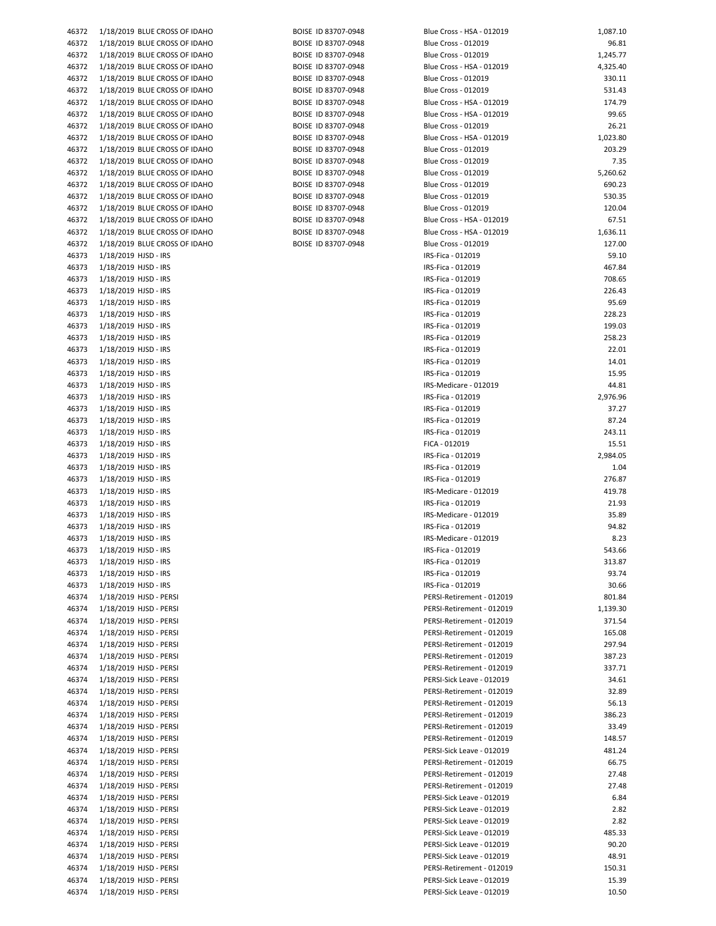| 1/18/2019 BLUE CROSS OF IDAI<br>46372<br>1/18/2019 BLUE CROSS OF IDAI<br>46372<br>1/18/2019 BLUE CROSS OF IDAI<br>46372<br>1/18/2019 BLUE CROSS OF IDAI<br>46372<br>1/18/2019 BLUE CROSS OF IDAI<br>46372<br>1/18/2019 BLUE CROSS OF IDAI<br>46372<br>1/18/2019 BLUE CROSS OF IDAI<br>46372<br>1/18/2019 BLUE CROSS OF IDAI<br>46372<br>1/18/2019 BLUE CROSS OF IDAI<br>46372<br>1/18/2019 BLUE CROSS OF IDAI<br>46372<br>1/18/2019 BLUE CROSS OF IDAI<br>46372<br>1/18/2019 BLUE CROSS OF IDAI<br>46372<br>1/18/2019 BLUE CROSS OF IDAI<br>46372<br>1/18/2019 BLUE CROSS OF IDAI<br>46372<br>1/18/2019 BLUE CROSS OF IDAI<br>46372<br>1/18/2019 BLUE CROSS OF IDAI<br>46372<br>1/18/2019 BLUE CROSS OF IDAI<br>46372<br>1/18/2019 BLUE CROSS OF IDAI<br>46372<br>1/18/2019 HJSD - IRS<br>46373<br>1/18/2019 HJSD - IRS<br>46373<br>1/18/2019 HJSD - IRS<br>46373<br>1/18/2019 HJSD - IRS<br>46373<br>1/18/2019 HJSD - IRS<br>46373<br>1/18/2019 HJSD - IRS<br>46373<br>1/18/2019 HJSD - IRS<br>46373<br>46373<br>1/18/2019 HJSD - IRS<br>1/18/2019 HJSD - IRS<br>46373<br>1/18/2019 HJSD - IRS<br>46373<br>46373<br>1/18/2019 HJSD - IRS<br>1/18/2019 HJSD - IRS<br>46373 |  |
|----------------------------------------------------------------------------------------------------------------------------------------------------------------------------------------------------------------------------------------------------------------------------------------------------------------------------------------------------------------------------------------------------------------------------------------------------------------------------------------------------------------------------------------------------------------------------------------------------------------------------------------------------------------------------------------------------------------------------------------------------------------------------------------------------------------------------------------------------------------------------------------------------------------------------------------------------------------------------------------------------------------------------------------------------------------------------------------------------------------------------------------------------------------------------|--|
|                                                                                                                                                                                                                                                                                                                                                                                                                                                                                                                                                                                                                                                                                                                                                                                                                                                                                                                                                                                                                                                                                                                                                                            |  |
|                                                                                                                                                                                                                                                                                                                                                                                                                                                                                                                                                                                                                                                                                                                                                                                                                                                                                                                                                                                                                                                                                                                                                                            |  |
|                                                                                                                                                                                                                                                                                                                                                                                                                                                                                                                                                                                                                                                                                                                                                                                                                                                                                                                                                                                                                                                                                                                                                                            |  |
|                                                                                                                                                                                                                                                                                                                                                                                                                                                                                                                                                                                                                                                                                                                                                                                                                                                                                                                                                                                                                                                                                                                                                                            |  |
|                                                                                                                                                                                                                                                                                                                                                                                                                                                                                                                                                                                                                                                                                                                                                                                                                                                                                                                                                                                                                                                                                                                                                                            |  |
|                                                                                                                                                                                                                                                                                                                                                                                                                                                                                                                                                                                                                                                                                                                                                                                                                                                                                                                                                                                                                                                                                                                                                                            |  |
|                                                                                                                                                                                                                                                                                                                                                                                                                                                                                                                                                                                                                                                                                                                                                                                                                                                                                                                                                                                                                                                                                                                                                                            |  |
|                                                                                                                                                                                                                                                                                                                                                                                                                                                                                                                                                                                                                                                                                                                                                                                                                                                                                                                                                                                                                                                                                                                                                                            |  |
|                                                                                                                                                                                                                                                                                                                                                                                                                                                                                                                                                                                                                                                                                                                                                                                                                                                                                                                                                                                                                                                                                                                                                                            |  |
|                                                                                                                                                                                                                                                                                                                                                                                                                                                                                                                                                                                                                                                                                                                                                                                                                                                                                                                                                                                                                                                                                                                                                                            |  |
|                                                                                                                                                                                                                                                                                                                                                                                                                                                                                                                                                                                                                                                                                                                                                                                                                                                                                                                                                                                                                                                                                                                                                                            |  |
|                                                                                                                                                                                                                                                                                                                                                                                                                                                                                                                                                                                                                                                                                                                                                                                                                                                                                                                                                                                                                                                                                                                                                                            |  |
|                                                                                                                                                                                                                                                                                                                                                                                                                                                                                                                                                                                                                                                                                                                                                                                                                                                                                                                                                                                                                                                                                                                                                                            |  |
|                                                                                                                                                                                                                                                                                                                                                                                                                                                                                                                                                                                                                                                                                                                                                                                                                                                                                                                                                                                                                                                                                                                                                                            |  |
|                                                                                                                                                                                                                                                                                                                                                                                                                                                                                                                                                                                                                                                                                                                                                                                                                                                                                                                                                                                                                                                                                                                                                                            |  |
|                                                                                                                                                                                                                                                                                                                                                                                                                                                                                                                                                                                                                                                                                                                                                                                                                                                                                                                                                                                                                                                                                                                                                                            |  |
|                                                                                                                                                                                                                                                                                                                                                                                                                                                                                                                                                                                                                                                                                                                                                                                                                                                                                                                                                                                                                                                                                                                                                                            |  |
|                                                                                                                                                                                                                                                                                                                                                                                                                                                                                                                                                                                                                                                                                                                                                                                                                                                                                                                                                                                                                                                                                                                                                                            |  |
|                                                                                                                                                                                                                                                                                                                                                                                                                                                                                                                                                                                                                                                                                                                                                                                                                                                                                                                                                                                                                                                                                                                                                                            |  |
|                                                                                                                                                                                                                                                                                                                                                                                                                                                                                                                                                                                                                                                                                                                                                                                                                                                                                                                                                                                                                                                                                                                                                                            |  |
|                                                                                                                                                                                                                                                                                                                                                                                                                                                                                                                                                                                                                                                                                                                                                                                                                                                                                                                                                                                                                                                                                                                                                                            |  |
|                                                                                                                                                                                                                                                                                                                                                                                                                                                                                                                                                                                                                                                                                                                                                                                                                                                                                                                                                                                                                                                                                                                                                                            |  |
|                                                                                                                                                                                                                                                                                                                                                                                                                                                                                                                                                                                                                                                                                                                                                                                                                                                                                                                                                                                                                                                                                                                                                                            |  |
|                                                                                                                                                                                                                                                                                                                                                                                                                                                                                                                                                                                                                                                                                                                                                                                                                                                                                                                                                                                                                                                                                                                                                                            |  |
|                                                                                                                                                                                                                                                                                                                                                                                                                                                                                                                                                                                                                                                                                                                                                                                                                                                                                                                                                                                                                                                                                                                                                                            |  |
|                                                                                                                                                                                                                                                                                                                                                                                                                                                                                                                                                                                                                                                                                                                                                                                                                                                                                                                                                                                                                                                                                                                                                                            |  |
|                                                                                                                                                                                                                                                                                                                                                                                                                                                                                                                                                                                                                                                                                                                                                                                                                                                                                                                                                                                                                                                                                                                                                                            |  |
|                                                                                                                                                                                                                                                                                                                                                                                                                                                                                                                                                                                                                                                                                                                                                                                                                                                                                                                                                                                                                                                                                                                                                                            |  |
|                                                                                                                                                                                                                                                                                                                                                                                                                                                                                                                                                                                                                                                                                                                                                                                                                                                                                                                                                                                                                                                                                                                                                                            |  |
|                                                                                                                                                                                                                                                                                                                                                                                                                                                                                                                                                                                                                                                                                                                                                                                                                                                                                                                                                                                                                                                                                                                                                                            |  |
|                                                                                                                                                                                                                                                                                                                                                                                                                                                                                                                                                                                                                                                                                                                                                                                                                                                                                                                                                                                                                                                                                                                                                                            |  |
|                                                                                                                                                                                                                                                                                                                                                                                                                                                                                                                                                                                                                                                                                                                                                                                                                                                                                                                                                                                                                                                                                                                                                                            |  |
|                                                                                                                                                                                                                                                                                                                                                                                                                                                                                                                                                                                                                                                                                                                                                                                                                                                                                                                                                                                                                                                                                                                                                                            |  |
| 1/18/2019 HJSD - IRS<br>46373                                                                                                                                                                                                                                                                                                                                                                                                                                                                                                                                                                                                                                                                                                                                                                                                                                                                                                                                                                                                                                                                                                                                              |  |
| 46373<br>1/18/2019 HJSD - IRS                                                                                                                                                                                                                                                                                                                                                                                                                                                                                                                                                                                                                                                                                                                                                                                                                                                                                                                                                                                                                                                                                                                                              |  |
| 46373<br>1/18/2019 HJSD - IRS                                                                                                                                                                                                                                                                                                                                                                                                                                                                                                                                                                                                                                                                                                                                                                                                                                                                                                                                                                                                                                                                                                                                              |  |
| 1/18/2019 HJSD - IRS<br>46373                                                                                                                                                                                                                                                                                                                                                                                                                                                                                                                                                                                                                                                                                                                                                                                                                                                                                                                                                                                                                                                                                                                                              |  |
| 1/18/2019 HJSD - IRS<br>46373                                                                                                                                                                                                                                                                                                                                                                                                                                                                                                                                                                                                                                                                                                                                                                                                                                                                                                                                                                                                                                                                                                                                              |  |
| 46373<br>1/18/2019 HJSD - IRS                                                                                                                                                                                                                                                                                                                                                                                                                                                                                                                                                                                                                                                                                                                                                                                                                                                                                                                                                                                                                                                                                                                                              |  |
| 1/18/2019 HJSD - IRS<br>46373                                                                                                                                                                                                                                                                                                                                                                                                                                                                                                                                                                                                                                                                                                                                                                                                                                                                                                                                                                                                                                                                                                                                              |  |
| 1/18/2019 HJSD - IRS<br>46373                                                                                                                                                                                                                                                                                                                                                                                                                                                                                                                                                                                                                                                                                                                                                                                                                                                                                                                                                                                                                                                                                                                                              |  |
| 1/18/2019 HJSD - IRS<br>46373                                                                                                                                                                                                                                                                                                                                                                                                                                                                                                                                                                                                                                                                                                                                                                                                                                                                                                                                                                                                                                                                                                                                              |  |
| 1/18/2019 HJSD - IRS<br>46373                                                                                                                                                                                                                                                                                                                                                                                                                                                                                                                                                                                                                                                                                                                                                                                                                                                                                                                                                                                                                                                                                                                                              |  |
| 1/18/2019 HJSD - IRS<br>46373                                                                                                                                                                                                                                                                                                                                                                                                                                                                                                                                                                                                                                                                                                                                                                                                                                                                                                                                                                                                                                                                                                                                              |  |
| 46373                                                                                                                                                                                                                                                                                                                                                                                                                                                                                                                                                                                                                                                                                                                                                                                                                                                                                                                                                                                                                                                                                                                                                                      |  |
| 1/18/2019 HJSD - IRS                                                                                                                                                                                                                                                                                                                                                                                                                                                                                                                                                                                                                                                                                                                                                                                                                                                                                                                                                                                                                                                                                                                                                       |  |
| 1/18/2019 HJSD - IRS<br>46373                                                                                                                                                                                                                                                                                                                                                                                                                                                                                                                                                                                                                                                                                                                                                                                                                                                                                                                                                                                                                                                                                                                                              |  |
| 46373<br>1/18/2019 HJSD - IRS                                                                                                                                                                                                                                                                                                                                                                                                                                                                                                                                                                                                                                                                                                                                                                                                                                                                                                                                                                                                                                                                                                                                              |  |
| 1/18/2019 HJSD - IRS<br>46373                                                                                                                                                                                                                                                                                                                                                                                                                                                                                                                                                                                                                                                                                                                                                                                                                                                                                                                                                                                                                                                                                                                                              |  |
| 1/18/2019 HJSD - IRS<br>46373                                                                                                                                                                                                                                                                                                                                                                                                                                                                                                                                                                                                                                                                                                                                                                                                                                                                                                                                                                                                                                                                                                                                              |  |
| 1/18/2019 HJSD - IRS<br>46373                                                                                                                                                                                                                                                                                                                                                                                                                                                                                                                                                                                                                                                                                                                                                                                                                                                                                                                                                                                                                                                                                                                                              |  |
| 1/18/2019 HJSD - PERSI<br>46374                                                                                                                                                                                                                                                                                                                                                                                                                                                                                                                                                                                                                                                                                                                                                                                                                                                                                                                                                                                                                                                                                                                                            |  |
| 1/18/2019 HJSD - PERSI<br>46374                                                                                                                                                                                                                                                                                                                                                                                                                                                                                                                                                                                                                                                                                                                                                                                                                                                                                                                                                                                                                                                                                                                                            |  |
| 1/18/2019 HJSD - PERSI<br>46374                                                                                                                                                                                                                                                                                                                                                                                                                                                                                                                                                                                                                                                                                                                                                                                                                                                                                                                                                                                                                                                                                                                                            |  |
| 46374<br>1/18/2019 HJSD - PERSI                                                                                                                                                                                                                                                                                                                                                                                                                                                                                                                                                                                                                                                                                                                                                                                                                                                                                                                                                                                                                                                                                                                                            |  |
| 1/18/2019 HJSD - PERSI<br>46374                                                                                                                                                                                                                                                                                                                                                                                                                                                                                                                                                                                                                                                                                                                                                                                                                                                                                                                                                                                                                                                                                                                                            |  |
| 1/18/2019 HJSD - PERSI<br>46374                                                                                                                                                                                                                                                                                                                                                                                                                                                                                                                                                                                                                                                                                                                                                                                                                                                                                                                                                                                                                                                                                                                                            |  |
| 1/18/2019 HJSD - PERSI<br>46374                                                                                                                                                                                                                                                                                                                                                                                                                                                                                                                                                                                                                                                                                                                                                                                                                                                                                                                                                                                                                                                                                                                                            |  |
| 1/18/2019 HJSD - PERSI<br>46374                                                                                                                                                                                                                                                                                                                                                                                                                                                                                                                                                                                                                                                                                                                                                                                                                                                                                                                                                                                                                                                                                                                                            |  |
| 1/18/2019 HJSD - PERSI<br>46374                                                                                                                                                                                                                                                                                                                                                                                                                                                                                                                                                                                                                                                                                                                                                                                                                                                                                                                                                                                                                                                                                                                                            |  |
| 1/18/2019 HJSD - PERSI                                                                                                                                                                                                                                                                                                                                                                                                                                                                                                                                                                                                                                                                                                                                                                                                                                                                                                                                                                                                                                                                                                                                                     |  |
| 46374                                                                                                                                                                                                                                                                                                                                                                                                                                                                                                                                                                                                                                                                                                                                                                                                                                                                                                                                                                                                                                                                                                                                                                      |  |
| 46374<br>1/18/2019 HJSD - PERSI                                                                                                                                                                                                                                                                                                                                                                                                                                                                                                                                                                                                                                                                                                                                                                                                                                                                                                                                                                                                                                                                                                                                            |  |
| 1/18/2019 HJSD - PERSI<br>46374                                                                                                                                                                                                                                                                                                                                                                                                                                                                                                                                                                                                                                                                                                                                                                                                                                                                                                                                                                                                                                                                                                                                            |  |
| 1/18/2019 HJSD - PERSI<br>46374                                                                                                                                                                                                                                                                                                                                                                                                                                                                                                                                                                                                                                                                                                                                                                                                                                                                                                                                                                                                                                                                                                                                            |  |
| 46374<br>1/18/2019 HJSD - PERSI                                                                                                                                                                                                                                                                                                                                                                                                                                                                                                                                                                                                                                                                                                                                                                                                                                                                                                                                                                                                                                                                                                                                            |  |
| 46374<br>1/18/2019 HJSD - PERSI                                                                                                                                                                                                                                                                                                                                                                                                                                                                                                                                                                                                                                                                                                                                                                                                                                                                                                                                                                                                                                                                                                                                            |  |
| 1/18/2019 HJSD - PERSI<br>46374                                                                                                                                                                                                                                                                                                                                                                                                                                                                                                                                                                                                                                                                                                                                                                                                                                                                                                                                                                                                                                                                                                                                            |  |
| 1/18/2019 HJSD - PERSI<br>46374                                                                                                                                                                                                                                                                                                                                                                                                                                                                                                                                                                                                                                                                                                                                                                                                                                                                                                                                                                                                                                                                                                                                            |  |
|                                                                                                                                                                                                                                                                                                                                                                                                                                                                                                                                                                                                                                                                                                                                                                                                                                                                                                                                                                                                                                                                                                                                                                            |  |
| 1/18/2019 HJSD - PERSI<br>46374                                                                                                                                                                                                                                                                                                                                                                                                                                                                                                                                                                                                                                                                                                                                                                                                                                                                                                                                                                                                                                                                                                                                            |  |
| 1/18/2019 HJSD - PERSI<br>46374                                                                                                                                                                                                                                                                                                                                                                                                                                                                                                                                                                                                                                                                                                                                                                                                                                                                                                                                                                                                                                                                                                                                            |  |
| 46374<br>1/18/2019 HJSD - PERSI                                                                                                                                                                                                                                                                                                                                                                                                                                                                                                                                                                                                                                                                                                                                                                                                                                                                                                                                                                                                                                                                                                                                            |  |
| 46374<br>1/18/2019 HJSD - PERSI                                                                                                                                                                                                                                                                                                                                                                                                                                                                                                                                                                                                                                                                                                                                                                                                                                                                                                                                                                                                                                                                                                                                            |  |
| 1/18/2019 HJSD - PERSI<br>46374                                                                                                                                                                                                                                                                                                                                                                                                                                                                                                                                                                                                                                                                                                                                                                                                                                                                                                                                                                                                                                                                                                                                            |  |
|                                                                                                                                                                                                                                                                                                                                                                                                                                                                                                                                                                                                                                                                                                                                                                                                                                                                                                                                                                                                                                                                                                                                                                            |  |
| 46374<br>1/18/2019 HJSD - PERSI                                                                                                                                                                                                                                                                                                                                                                                                                                                                                                                                                                                                                                                                                                                                                                                                                                                                                                                                                                                                                                                                                                                                            |  |
| 1/18/2019 HJSD - PERSI<br>46374<br>1/18/2019 HJSD - PERSI<br>46374                                                                                                                                                                                                                                                                                                                                                                                                                                                                                                                                                                                                                                                                                                                                                                                                                                                                                                                                                                                                                                                                                                         |  |

|  | BOISE ID 83707-0948 |
|--|---------------------|
|  | BOISE ID 83707-0948 |
|  | BOISE ID 83707-0948 |
|  | BOISE ID 83707-0948 |
|  | BOISE ID 83707-0948 |
|  | BOISE ID 83707-0948 |
|  | BOISE ID 83707-0948 |
|  | BOISE ID 83707-0948 |
|  | BOISE ID 83707-0948 |
|  | BOISE ID 83707-0948 |
|  | BOISE ID 83707-0948 |
|  | BOISE ID 83707-0948 |
|  | BOISE ID 83707-0948 |
|  | BOISE ID 83707-0948 |
|  | BOISE ID 83707-0948 |
|  | BOISE ID 83707-0948 |
|  | BOISE ID 83707-0948 |
|  | BOISE ID 83707-0948 |
|  | BOISE ID 83707-0948 |
|  |                     |

| 46372 | 1/18/2019 BLUE CROSS OF IDAHO | BOISE ID 83707-0948 | Blue Cross - HSA - 012019  | 1,087.10 |
|-------|-------------------------------|---------------------|----------------------------|----------|
| 46372 | 1/18/2019 BLUE CROSS OF IDAHO | BOISE ID 83707-0948 | <b>Blue Cross - 012019</b> | 96.81    |
| 46372 | 1/18/2019 BLUE CROSS OF IDAHO | BOISE ID 83707-0948 | Blue Cross - 012019        | 1,245.77 |
|       |                               |                     |                            |          |
| 46372 | 1/18/2019 BLUE CROSS OF IDAHO | BOISE ID 83707-0948 | Blue Cross - HSA - 012019  | 4,325.40 |
| 46372 | 1/18/2019 BLUE CROSS OF IDAHO | BOISE ID 83707-0948 | <b>Blue Cross - 012019</b> | 330.11   |
| 46372 | 1/18/2019 BLUE CROSS OF IDAHO | BOISE ID 83707-0948 | <b>Blue Cross - 012019</b> | 531.43   |
|       |                               |                     |                            |          |
| 46372 | 1/18/2019 BLUE CROSS OF IDAHO | BOISE ID 83707-0948 | Blue Cross - HSA - 012019  | 174.79   |
| 46372 | 1/18/2019 BLUE CROSS OF IDAHO | BOISE ID 83707-0948 | Blue Cross - HSA - 012019  | 99.65    |
| 46372 | 1/18/2019 BLUE CROSS OF IDAHO | BOISE ID 83707-0948 | Blue Cross - 012019        | 26.21    |
|       |                               |                     |                            |          |
| 46372 | 1/18/2019 BLUE CROSS OF IDAHO | BOISE ID 83707-0948 | Blue Cross - HSA - 012019  | 1,023.80 |
| 46372 | 1/18/2019 BLUE CROSS OF IDAHO | BOISE ID 83707-0948 | <b>Blue Cross - 012019</b> | 203.29   |
| 46372 | 1/18/2019 BLUE CROSS OF IDAHO | BOISE ID 83707-0948 | Blue Cross - 012019        | 7.35     |
|       |                               |                     |                            |          |
| 46372 | 1/18/2019 BLUE CROSS OF IDAHO | BOISE ID 83707-0948 | Blue Cross - 012019        | 5,260.62 |
| 46372 | 1/18/2019 BLUE CROSS OF IDAHO | BOISE ID 83707-0948 | Blue Cross - 012019        | 690.23   |
| 46372 | 1/18/2019 BLUE CROSS OF IDAHO | BOISE ID 83707-0948 | Blue Cross - 012019        | 530.35   |
|       |                               |                     |                            |          |
| 46372 | 1/18/2019 BLUE CROSS OF IDAHO | BOISE ID 83707-0948 | Blue Cross - 012019        | 120.04   |
| 46372 | 1/18/2019 BLUE CROSS OF IDAHO | BOISE ID 83707-0948 | Blue Cross - HSA - 012019  | 67.51    |
| 46372 | 1/18/2019 BLUE CROSS OF IDAHO | BOISE ID 83707-0948 | Blue Cross - HSA - 012019  | 1,636.11 |
|       |                               | BOISE ID 83707-0948 | <b>Blue Cross - 012019</b> | 127.00   |
| 46372 | 1/18/2019 BLUE CROSS OF IDAHO |                     |                            |          |
| 46373 | 1/18/2019 HJSD - IRS          |                     | IRS-Fica - 012019          | 59.10    |
| 46373 | 1/18/2019 HJSD - IRS          |                     | IRS-Fica - 012019          | 467.84   |
| 46373 | 1/18/2019 HJSD - IRS          |                     | IRS-Fica - 012019          | 708.65   |
|       |                               |                     |                            |          |
| 46373 | 1/18/2019 HJSD - IRS          |                     | IRS-Fica - 012019          | 226.43   |
| 46373 | 1/18/2019 HJSD - IRS          |                     | IRS-Fica - 012019          | 95.69    |
| 46373 | 1/18/2019 HJSD - IRS          |                     | IRS-Fica - 012019          | 228.23   |
|       |                               |                     |                            |          |
| 46373 | 1/18/2019 HJSD - IRS          |                     | IRS-Fica - 012019          | 199.03   |
| 46373 | 1/18/2019 HJSD - IRS          |                     | IRS-Fica - 012019          | 258.23   |
| 46373 | 1/18/2019 HJSD - IRS          |                     | IRS-Fica - 012019          | 22.01    |
|       |                               |                     |                            |          |
| 46373 | 1/18/2019 HJSD - IRS          |                     | IRS-Fica - 012019          | 14.01    |
| 46373 | 1/18/2019 HJSD - IRS          |                     | IRS-Fica - 012019          | 15.95    |
| 46373 | 1/18/2019 HJSD - IRS          |                     | IRS-Medicare - 012019      | 44.81    |
|       |                               |                     |                            |          |
| 46373 | 1/18/2019 HJSD - IRS          |                     | IRS-Fica - 012019          | 2,976.96 |
| 46373 | 1/18/2019 HJSD - IRS          |                     | IRS-Fica - 012019          | 37.27    |
| 46373 | 1/18/2019 HJSD - IRS          |                     | IRS-Fica - 012019          | 87.24    |
|       |                               |                     |                            |          |
| 46373 | 1/18/2019 HJSD - IRS          |                     | IRS-Fica - 012019          | 243.11   |
| 46373 | 1/18/2019 HJSD - IRS          |                     | FICA - 012019              | 15.51    |
| 46373 | 1/18/2019 HJSD - IRS          |                     | IRS-Fica - 012019          | 2,984.05 |
|       |                               |                     |                            |          |
| 46373 | 1/18/2019 HJSD - IRS          |                     | IRS-Fica - 012019          | 1.04     |
| 46373 | 1/18/2019 HJSD - IRS          |                     | IRS-Fica - 012019          | 276.87   |
| 46373 | 1/18/2019 HJSD - IRS          |                     | IRS-Medicare - 012019      | 419.78   |
|       |                               |                     |                            |          |
| 46373 | 1/18/2019 HJSD - IRS          |                     | IRS-Fica - 012019          | 21.93    |
| 46373 | 1/18/2019 HJSD - IRS          |                     | IRS-Medicare - 012019      | 35.89    |
| 46373 | 1/18/2019 HJSD - IRS          |                     | IRS-Fica - 012019          | 94.82    |
|       |                               |                     |                            |          |
| 46373 | 1/18/2019 HJSD - IRS          |                     | IRS-Medicare - 012019      | 8.23     |
| 46373 | 1/18/2019 HJSD - IRS          |                     | IRS-Fica - 012019          | 543.66   |
| 46373 | 1/18/2019 HJSD - IRS          |                     | IRS-Fica - 012019          | 313.87   |
|       |                               |                     |                            |          |
| 46373 | 1/18/2019 HJSD - IRS          |                     | IRS-Fica - 012019          | 93.74    |
| 46373 | 1/18/2019 HJSD - IRS          |                     | IRS-Fica - 012019          | 30.66    |
| 46374 | 1/18/2019 HJSD - PERSI        |                     | PERSI-Retirement - 012019  | 801.84   |
|       |                               |                     |                            |          |
| 46374 | 1/18/2019 HJSD - PERSI        |                     | PERSI-Retirement - 012019  | 1,139.30 |
| 46374 | 1/18/2019 HJSD - PERSI        |                     | PERSI-Retirement - 012019  | 371.54   |
| 46374 | 1/18/2019 HJSD - PERSI        |                     | PERSI-Retirement - 012019  | 165.08   |
|       |                               |                     |                            |          |
| 46374 | 1/18/2019 HJSD - PERSI        |                     | PERSI-Retirement - 012019  | 297.94   |
| 46374 | 1/18/2019 HJSD - PERSI        |                     | PERSI-Retirement - 012019  | 387.23   |
| 46374 | 1/18/2019 HJSD - PERSI        |                     | PERSI-Retirement - 012019  | 337.71   |
|       |                               |                     |                            |          |
| 46374 | 1/18/2019 HJSD - PERSI        |                     | PERSI-Sick Leave - 012019  | 34.61    |
| 46374 | 1/18/2019 HJSD - PERSI        |                     | PERSI-Retirement - 012019  | 32.89    |
| 46374 | 1/18/2019 HJSD - PERSI        |                     | PERSI-Retirement - 012019  | 56.13    |
|       |                               |                     |                            |          |
| 46374 | 1/18/2019 HJSD - PERSI        |                     | PERSI-Retirement - 012019  | 386.23   |
| 46374 | 1/18/2019 HJSD - PERSI        |                     | PERSI-Retirement - 012019  | 33.49    |
| 46374 | 1/18/2019 HJSD - PERSI        |                     | PERSI-Retirement - 012019  | 148.57   |
| 46374 | 1/18/2019 HJSD - PERSI        |                     | PERSI-Sick Leave - 012019  | 481.24   |
|       |                               |                     |                            |          |
| 46374 | 1/18/2019 HJSD - PERSI        |                     | PERSI-Retirement - 012019  | 66.75    |
| 46374 | 1/18/2019 HJSD - PERSI        |                     | PERSI-Retirement - 012019  | 27.48    |
| 46374 | 1/18/2019 HJSD - PERSI        |                     | PERSI-Retirement - 012019  | 27.48    |
|       |                               |                     |                            |          |
| 46374 | 1/18/2019 HJSD - PERSI        |                     | PERSI-Sick Leave - 012019  | 6.84     |
| 46374 | 1/18/2019 HJSD - PERSI        |                     | PERSI-Sick Leave - 012019  | 2.82     |
| 46374 | 1/18/2019 HJSD - PERSI        |                     | PERSI-Sick Leave - 012019  | 2.82     |
|       |                               |                     |                            |          |
| 46374 | 1/18/2019 HJSD - PERSI        |                     | PERSI-Sick Leave - 012019  | 485.33   |
| 46374 | 1/18/2019 HJSD - PERSI        |                     | PERSI-Sick Leave - 012019  | 90.20    |
| 46374 | 1/18/2019 HJSD - PERSI        |                     | PERSI-Sick Leave - 012019  | 48.91    |
|       |                               |                     |                            |          |
| 46374 | 1/18/2019 HJSD - PERSI        |                     | PERSI-Retirement - 012019  | 150.31   |
| 46374 | 1/18/2019 HJSD - PERSI        |                     | PERSI-Sick Leave - 012019  | 15.39    |
| 46374 | 1/18/2019 HJSD - PERSI        |                     | PERSI-Sick Leave - 012019  | 10.50    |
|       |                               |                     |                            |          |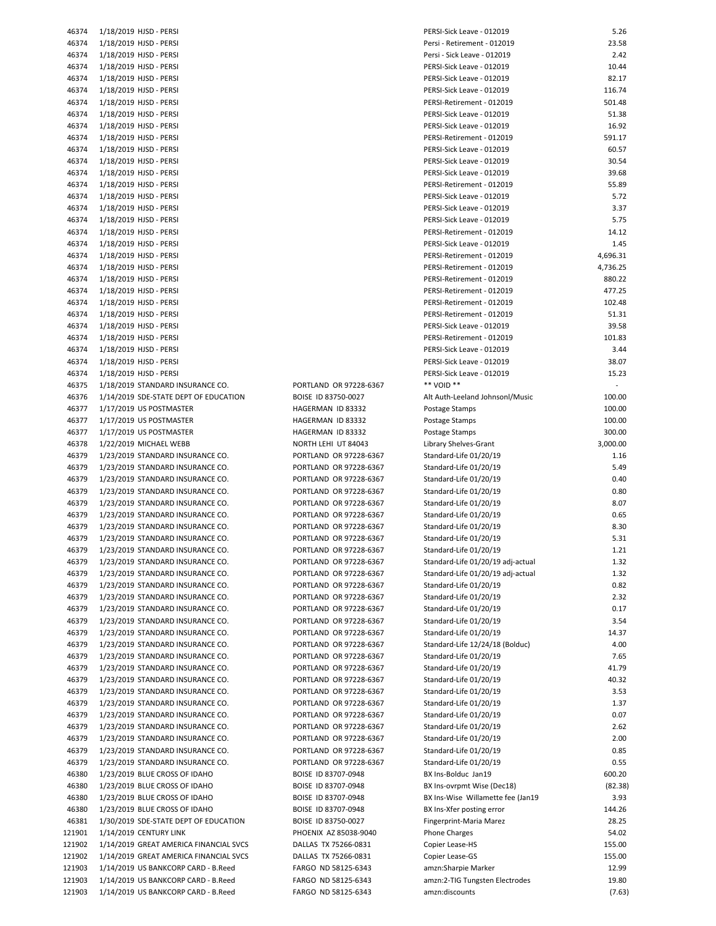| 46374          | 1/18/2019 HJSD - PERSI                                            |
|----------------|-------------------------------------------------------------------|
| 46374          | 1/18/2019 HJSD - PERSI                                            |
| 46374          | 1/18/2019 HJSD - PERSI                                            |
| 46374          | 1/18/2019 HJSD - PERSI                                            |
| 46374          | 1/18/2019 HJSD - PERSI                                            |
| 46374          | 1/18/2019 HJSD - PERSI                                            |
| 46374          | 1/18/2019 HJSD - PERSI                                            |
| 46374          | 1/18/2019 HJSD - PERSI                                            |
| 46374          | 1/18/2019 HJSD - PERSI                                            |
| 46374          | 1/18/2019 HJSD - PERSI                                            |
| 46374          | 1/18/2019 HJSD - PERSI                                            |
| 46374          | 1/18/2019 HJSD - PERSI                                            |
|                | 1/18/2019 HJSD - PERSI                                            |
| 46374          |                                                                   |
| 46374          | 1/18/2019 HJSD - PERSI                                            |
| 46374          | 1/18/2019 HJSD - PERSI                                            |
| 46374          | 1/18/2019 HJSD - PERSI                                            |
| 46374          | 1/18/2019 HJSD - PERSI                                            |
| 46374          | 1/18/2019 HJSD - PERSI                                            |
| 46374          | 1/18/2019 HJSD - PERSI                                            |
| 46374          | 1/18/2019 HJSD - PERSI                                            |
| 46374          | 1/18/2019 HJSD - PERSI                                            |
| 46374          | 1/18/2019 HJSD - PERSI                                            |
| 46374          | 1/18/2019 HJSD - PERSI                                            |
| 46374          | 1/18/2019 HJSD - PERSI                                            |
| 46374          | 1/18/2019 HJSD - PERSI                                            |
| 46374          | 1/18/2019 HJSD - PERSI                                            |
| 46374          | 1/18/2019 HJSD - PERSI                                            |
| 46374          | 1/18/2019 HJSD - PERSI                                            |
| 46374          | 1/18/2019 HJSD - PERSI                                            |
| 46374          | 1/18/2019 HJSD - PERSI                                            |
| 46375          | 1/18/2019 STANDARD INSURANCE CO.                                  |
| 46376          | 1/14/2019 SDE-STATE DEPT OF EDUCATION                             |
| 46377          | 1/17/2019 US POSTMASTER                                           |
| 46377          | 1/17/2019 US POSTMASTER                                           |
| 46377          | 1/17/2019 US POSTMASTER                                           |
| 46378          | 1/22/2019 MICHAEL WEBB                                            |
| 46379          | 1/23/2019 STANDARD INSURANCE CO.                                  |
|                |                                                                   |
| 46379          | 1/23/2019 STANDARD INSURANCE CO.                                  |
| 46379          | 1/23/2019 STANDARD INSURANCE CO.                                  |
| 46379          | 1/23/2019 STANDARD INSURANCE CO.                                  |
| 46379          | 1/23/2019 STANDARD INSURANCE CO.                                  |
| 46379          | 1/23/2019 STANDARD INSURANCE CO.                                  |
| 46379          | 1/23/2019 STANDARD INSURANCE CO.                                  |
| 46379          | 1/23/2019 STANDARD INSURANCE CO.                                  |
| 46379          | 1/23/2019 STANDARD INSURANCE CO.                                  |
| 46379          | 1/23/2019 STANDARD INSURANCE CO.                                  |
| 46379          | 1/23/2019 STANDARD INSURANCE CO.                                  |
| 46379          | 1/23/2019 STANDARD INSURANCE CO.                                  |
| 46379          | 1/23/2019 STANDARD INSURANCE CO.                                  |
| 46379          | 1/23/2019 STANDARD INSURANCE CO.                                  |
| 46379          | 1/23/2019 STANDARD INSURANCE CO.                                  |
| 46379          | 1/23/2019 STANDARD INSURANCE CO.                                  |
| 46379          | 1/23/2019 STANDARD INSURANCE CO.                                  |
| 46379          | 1/23/2019 STANDARD INSURANCE CO.                                  |
| 46379          | 1/23/2019 STANDARD INSURANCE CO.                                  |
| 46379          | 1/23/2019 STANDARD INSURANCE CO.                                  |
| 46379          | 1/23/2019 STANDARD INSURANCE CO.                                  |
| 46379          | 1/23/2019 STANDARD INSURANCE CO.                                  |
| 46379          | 1/23/2019 STANDARD INSURANCE CO.                                  |
| 46379          | 1/23/2019 STANDARD INSURANCE CO.                                  |
| 46379          | 1/23/2019 STANDARD INSURANCE CO.                                  |
| 46379          | 1/23/2019 STANDARD INSURANCE CO.                                  |
|                |                                                                   |
| 46379<br>46380 | 1/23/2019 STANDARD INSURANCE CO.<br>1/23/2019 BLUE CROSS OF IDAHO |
|                |                                                                   |
| 46380          | 1/23/2019 BLUE CROSS OF IDAHO                                     |
| 46380          | 1/23/2019 BLUE CROSS OF IDAHO                                     |
| 46380          | 1/23/2019 BLUE CROSS OF IDAHO                                     |
| 46381          | 1/30/2019 SDE-STATE DEPT OF EDUCATION                             |
| 121901         | 1/14/2019 CENTURY LINK                                            |
| 121902         | 1/14/2019 GREAT AMERICA FINANCIAL SVCS                            |
| 121902         | 1/14/2019 GREAT AMERICA FINANCIAL SVCS                            |
| 121903         | 1/14/2019 US BANKCORP CARD - B.Reed                               |
| 121903         | 1/14/2019 US BANKCORP CARD - B.Reed                               |
| 121903         | 1/14/2019 US BANKCORP CARD - B.Reed                               |
|                |                                                                   |

| 46374 | 1/18/2019 HJSD - PERSI                 |                        | PERSI-Sick Leave - 012019         | 5.26                     |
|-------|----------------------------------------|------------------------|-----------------------------------|--------------------------|
| 46374 | 1/18/2019 HJSD - PERSI                 |                        | Persi - Retirement - 012019       | 23.58                    |
| 46374 | 1/18/2019 HJSD - PERSI                 |                        | Persi - Sick Leave - 012019       | 2.42                     |
| 46374 | 1/18/2019 HJSD - PERSI                 |                        | PERSI-Sick Leave - 012019         | 10.44                    |
|       |                                        |                        |                                   |                          |
| 46374 | 1/18/2019 HJSD - PERSI                 |                        | PERSI-Sick Leave - 012019         | 82.17                    |
| 46374 | 1/18/2019 HJSD - PERSI                 |                        | PERSI-Sick Leave - 012019         | 116.74                   |
| 46374 | 1/18/2019 HJSD - PERSI                 |                        | PERSI-Retirement - 012019         | 501.48                   |
| 46374 | 1/18/2019 HJSD - PERSI                 |                        | PERSI-Sick Leave - 012019         | 51.38                    |
| 46374 | 1/18/2019 HJSD - PERSI                 |                        | PERSI-Sick Leave - 012019         | 16.92                    |
| 46374 | 1/18/2019 HJSD - PERSI                 |                        | PERSI-Retirement - 012019         | 591.17                   |
| 46374 | 1/18/2019 HJSD - PERSI                 |                        | PERSI-Sick Leave - 012019         | 60.57                    |
|       |                                        |                        |                                   |                          |
| 46374 | 1/18/2019 HJSD - PERSI                 |                        | PERSI-Sick Leave - 012019         | 30.54                    |
| 46374 | 1/18/2019 HJSD - PERSI                 |                        | PERSI-Sick Leave - 012019         | 39.68                    |
| 46374 | 1/18/2019 HJSD - PERSI                 |                        | PERSI-Retirement - 012019         | 55.89                    |
| 46374 | 1/18/2019 HJSD - PERSI                 |                        | PERSI-Sick Leave - 012019         | 5.72                     |
| 46374 | 1/18/2019 HJSD - PERSI                 |                        | PERSI-Sick Leave - 012019         | 3.37                     |
| 46374 | 1/18/2019 HJSD - PERSI                 |                        | PERSI-Sick Leave - 012019         | 5.75                     |
| 46374 | 1/18/2019 HJSD - PERSI                 |                        | PERSI-Retirement - 012019         | 14.12                    |
|       |                                        |                        |                                   |                          |
| 46374 | 1/18/2019 HJSD - PERSI                 |                        | PERSI-Sick Leave - 012019         | 1.45                     |
| 46374 | 1/18/2019 HJSD - PERSI                 |                        | PERSI-Retirement - 012019         | 4,696.31                 |
| 46374 | 1/18/2019 HJSD - PERSI                 |                        | PERSI-Retirement - 012019         | 4,736.25                 |
| 46374 | 1/18/2019 HJSD - PERSI                 |                        | PERSI-Retirement - 012019         | 880.22                   |
| 46374 | 1/18/2019 HJSD - PERSI                 |                        | PERSI-Retirement - 012019         | 477.25                   |
| 46374 | 1/18/2019 HJSD - PERSI                 |                        | PERSI-Retirement - 012019         | 102.48                   |
|       |                                        |                        |                                   | 51.31                    |
| 46374 | 1/18/2019 HJSD - PERSI                 |                        | PERSI-Retirement - 012019         |                          |
| 46374 | 1/18/2019 HJSD - PERSI                 |                        | PERSI-Sick Leave - 012019         | 39.58                    |
| 46374 | 1/18/2019 HJSD - PERSI                 |                        | PERSI-Retirement - 012019         | 101.83                   |
| 46374 | 1/18/2019 HJSD - PERSI                 |                        | PERSI-Sick Leave - 012019         | 3.44                     |
| 46374 | 1/18/2019 HJSD - PERSI                 |                        | PERSI-Sick Leave - 012019         | 38.07                    |
| 46374 | 1/18/2019 HJSD - PERSI                 |                        | PERSI-Sick Leave - 012019         | 15.23                    |
| 46375 | 1/18/2019 STANDARD INSURANCE CO.       | PORTLAND OR 97228-6367 | ** VOID **                        | $\overline{\phantom{a}}$ |
|       |                                        |                        |                                   |                          |
| 46376 | 1/14/2019 SDE-STATE DEPT OF EDUCATION  | BOISE ID 83750-0027    | Alt Auth-Leeland Johnsonl/Music   | 100.00                   |
| 46377 | 1/17/2019 US POSTMASTER                | HAGERMAN ID 83332      | Postage Stamps                    | 100.00                   |
| 46377 | 1/17/2019 US POSTMASTER                | HAGERMAN ID 83332      | Postage Stamps                    | 100.00                   |
| 46377 | 1/17/2019 US POSTMASTER                | HAGERMAN ID 83332      | Postage Stamps                    | 300.00                   |
| 46378 | 1/22/2019 MICHAEL WEBB                 | NORTH LEHI UT 84043    | Library Shelves-Grant             | 3,000.00                 |
| 46379 | 1/23/2019 STANDARD INSURANCE CO.       | PORTLAND OR 97228-6367 | Standard-Life 01/20/19            | 1.16                     |
|       |                                        | PORTLAND OR 97228-6367 |                                   | 5.49                     |
| 46379 | 1/23/2019 STANDARD INSURANCE CO.       |                        | Standard-Life 01/20/19            |                          |
| 46379 | 1/23/2019 STANDARD INSURANCE CO.       | PORTLAND OR 97228-6367 | Standard-Life 01/20/19            | 0.40                     |
| 46379 | 1/23/2019 STANDARD INSURANCE CO.       | PORTLAND OR 97228-6367 | Standard-Life 01/20/19            | 0.80                     |
| 46379 | 1/23/2019 STANDARD INSURANCE CO.       | PORTLAND OR 97228-6367 | Standard-Life 01/20/19            | 8.07                     |
| 46379 | 1/23/2019 STANDARD INSURANCE CO.       | PORTLAND OR 97228-6367 | Standard-Life 01/20/19            | 0.65                     |
| 46379 | 1/23/2019 STANDARD INSURANCE CO.       | PORTLAND OR 97228-6367 | Standard-Life 01/20/19            | 8.30                     |
| 46379 | 1/23/2019 STANDARD INSURANCE CO.       | PORTLAND OR 97228-6367 | Standard-Life 01/20/19            | 5.31                     |
|       |                                        | PORTLAND OR 97228-6367 | Standard-Life 01/20/19            |                          |
| 46379 | 1/23/2019 STANDARD INSURANCE CO.       |                        |                                   | 1.21                     |
| 46379 | 1/23/2019 STANDARD INSURANCE CO.       | PORTLAND OR 97228-6367 | Standard-Life 01/20/19 adj-actual | 1.32                     |
| 46379 | 1/23/2019 STANDARD INSURANCE CO.       | PORTLAND OR 97228-6367 | Standard-Life 01/20/19 adj-actual | 1.32                     |
| 46379 | 1/23/2019 STANDARD INSURANCE CO.       | PORTLAND OR 97228-6367 | Standard-Life 01/20/19            | 0.82                     |
| 46379 | 1/23/2019 STANDARD INSURANCE CO.       | PORTLAND OR 97228-6367 | Standard-Life 01/20/19            | 2.32                     |
| 46379 | 1/23/2019 STANDARD INSURANCE CO.       | PORTLAND OR 97228-6367 | Standard-Life 01/20/19            | 0.17                     |
|       | 1/23/2019 STANDARD INSURANCE CO.       |                        |                                   |                          |
| 46379 |                                        | PORTLAND OR 97228-6367 | Standard-Life 01/20/19            | 3.54                     |
| 46379 | 1/23/2019 STANDARD INSURANCE CO.       | PORTLAND OR 97228-6367 | Standard-Life 01/20/19            | 14.37                    |
| 46379 | 1/23/2019 STANDARD INSURANCE CO.       | PORTLAND OR 97228-6367 | Standard-Life 12/24/18 (Bolduc)   | 4.00                     |
| 46379 | 1/23/2019 STANDARD INSURANCE CO.       | PORTLAND OR 97228-6367 | Standard-Life 01/20/19            | 7.65                     |
| 46379 | 1/23/2019 STANDARD INSURANCE CO.       | PORTLAND OR 97228-6367 | Standard-Life 01/20/19            | 41.79                    |
| 46379 | 1/23/2019 STANDARD INSURANCE CO.       | PORTLAND OR 97228-6367 | Standard-Life 01/20/19            | 40.32                    |
| 46379 | 1/23/2019 STANDARD INSURANCE CO.       | PORTLAND OR 97228-6367 | Standard-Life 01/20/19            | 3.53                     |
|       |                                        |                        |                                   |                          |
| 46379 | 1/23/2019 STANDARD INSURANCE CO.       | PORTLAND OR 97228-6367 | Standard-Life 01/20/19            | 1.37                     |
| 46379 | 1/23/2019 STANDARD INSURANCE CO.       | PORTLAND OR 97228-6367 | Standard-Life 01/20/19            | 0.07                     |
| 46379 | 1/23/2019 STANDARD INSURANCE CO.       | PORTLAND OR 97228-6367 | Standard-Life 01/20/19            | 2.62                     |
| 46379 | 1/23/2019 STANDARD INSURANCE CO.       | PORTLAND OR 97228-6367 | Standard-Life 01/20/19            | 2.00                     |
| 46379 | 1/23/2019 STANDARD INSURANCE CO.       | PORTLAND OR 97228-6367 | Standard-Life 01/20/19            | 0.85                     |
| 46379 | 1/23/2019 STANDARD INSURANCE CO.       | PORTLAND OR 97228-6367 | Standard-Life 01/20/19            | 0.55                     |
| 46380 | 1/23/2019 BLUE CROSS OF IDAHO          | BOISE ID 83707-0948    | BX Ins-Bolduc Jan19               | 600.20                   |
|       |                                        |                        |                                   |                          |
| 46380 | 1/23/2019 BLUE CROSS OF IDAHO          | BOISE ID 83707-0948    | BX Ins-ovrpmt Wise (Dec18)        | (82.38)                  |
| 46380 | 1/23/2019 BLUE CROSS OF IDAHO          | BOISE ID 83707-0948    | BX Ins-Wise Willamette fee (Jan19 | 3.93                     |
| 46380 | 1/23/2019 BLUE CROSS OF IDAHO          | BOISE ID 83707-0948    | BX Ins-Xfer posting error         | 144.26                   |
| 46381 | 1/30/2019 SDE-STATE DEPT OF EDUCATION  | BOISE ID 83750-0027    | Fingerprint-Maria Marez           | 28.25                    |
| 21901 | 1/14/2019 CENTURY LINK                 | PHOENIX AZ 85038-9040  | <b>Phone Charges</b>              | 54.02                    |
| 21902 | 1/14/2019 GREAT AMERICA FINANCIAL SVCS | DALLAS TX 75266-0831   | Copier Lease-HS                   | 155.00                   |
|       |                                        |                        |                                   |                          |
| 21902 | 1/14/2019 GREAT AMERICA FINANCIAL SVCS | DALLAS TX 75266-0831   | Copier Lease-GS                   | 155.00                   |
| 21903 | 1/14/2019 US BANKCORP CARD - B.Reed    | FARGO ND 58125-6343    | amzn:Sharpie Marker               | 12.99                    |
| 21903 | 1/14/2019 US BANKCORP CARD - B.Reed    | FARGO ND 58125-6343    | amzn:2-TIG Tungsten Electrodes    | 19.80                    |
| 21903 | 1/14/2019 US BANKCORP CARD - B.Reed    | FARGO ND 58125-6343    | amzn:discounts                    | (7.63)                   |
|       |                                        |                        |                                   |                          |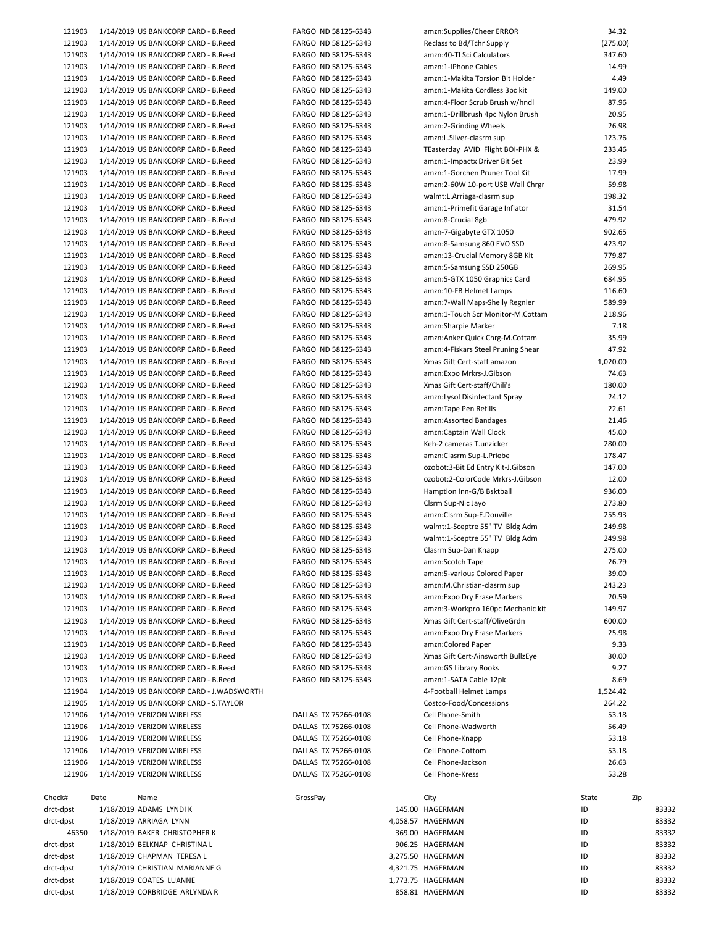| 121903    |      | 1/14/2019 US BANKCORP CARD - B.Reed      |          | FARGO ND 58125-6343  | amzn:Supplies/Cheer ERROR          | 34.32    |     |       |
|-----------|------|------------------------------------------|----------|----------------------|------------------------------------|----------|-----|-------|
| 121903    |      | 1/14/2019 US BANKCORP CARD - B.Reed      |          | FARGO ND 58125-6343  | Reclass to Bd/Tchr Supply          | (275.00) |     |       |
| 121903    |      | 1/14/2019 US BANKCORP CARD - B.Reed      |          | FARGO ND 58125-6343  | amzn:40-TI Sci Calculators         | 347.60   |     |       |
| 121903    |      | 1/14/2019 US BANKCORP CARD - B.Reed      |          | FARGO ND 58125-6343  | amzn:1-IPhone Cables               | 14.99    |     |       |
|           |      |                                          |          |                      |                                    |          |     |       |
| 121903    |      | 1/14/2019 US BANKCORP CARD - B.Reed      |          | FARGO ND 58125-6343  | amzn:1-Makita Torsion Bit Holder   | 4.49     |     |       |
| 121903    |      | 1/14/2019 US BANKCORP CARD - B.Reed      |          | FARGO ND 58125-6343  | amzn:1-Makita Cordless 3pc kit     | 149.00   |     |       |
| 121903    |      | 1/14/2019 US BANKCORP CARD - B.Reed      |          | FARGO ND 58125-6343  | amzn:4-Floor Scrub Brush w/hndl    | 87.96    |     |       |
| 121903    |      | 1/14/2019 US BANKCORP CARD - B.Reed      |          | FARGO ND 58125-6343  | amzn:1-Drillbrush 4pc Nylon Brush  | 20.95    |     |       |
| 121903    |      | 1/14/2019 US BANKCORP CARD - B.Reed      |          | FARGO ND 58125-6343  | amzn:2-Grinding Wheels             | 26.98    |     |       |
| 121903    |      | 1/14/2019 US BANKCORP CARD - B.Reed      |          | FARGO ND 58125-6343  | amzn:L.Silver-clasrm sup           | 123.76   |     |       |
|           |      |                                          |          |                      |                                    |          |     |       |
| 121903    |      | 1/14/2019 US BANKCORP CARD - B.Reed      |          | FARGO ND 58125-6343  | TEasterday AVID Flight BOI-PHX &   | 233.46   |     |       |
| 121903    |      | 1/14/2019 US BANKCORP CARD - B.Reed      |          | FARGO ND 58125-6343  | amzn:1-Impactx Driver Bit Set      | 23.99    |     |       |
| 121903    |      | 1/14/2019 US BANKCORP CARD - B.Reed      |          | FARGO ND 58125-6343  | amzn:1-Gorchen Pruner Tool Kit     | 17.99    |     |       |
| 121903    |      | 1/14/2019 US BANKCORP CARD - B.Reed      |          | FARGO ND 58125-6343  | amzn:2-60W 10-port USB Wall Chrgr  | 59.98    |     |       |
| 121903    |      | 1/14/2019 US BANKCORP CARD - B.Reed      |          | FARGO ND 58125-6343  | walmt:L.Arriaga-clasrm sup         | 198.32   |     |       |
| 121903    |      |                                          |          |                      | amzn:1-Primefit Garage Inflator    | 31.54    |     |       |
|           |      | 1/14/2019 US BANKCORP CARD - B.Reed      |          | FARGO ND 58125-6343  |                                    |          |     |       |
| 121903    |      | 1/14/2019 US BANKCORP CARD - B.Reed      |          | FARGO ND 58125-6343  | amzn:8-Crucial 8gb                 | 479.92   |     |       |
| 121903    |      | 1/14/2019 US BANKCORP CARD - B.Reed      |          | FARGO ND 58125-6343  | amzn-7-Gigabyte GTX 1050           | 902.65   |     |       |
| 121903    |      | 1/14/2019 US BANKCORP CARD - B.Reed      |          | FARGO ND 58125-6343  | amzn:8-Samsung 860 EVO SSD         | 423.92   |     |       |
| 121903    |      | 1/14/2019 US BANKCORP CARD - B.Reed      |          | FARGO ND 58125-6343  | amzn:13-Crucial Memory 8GB Kit     | 779.87   |     |       |
| 121903    |      | 1/14/2019 US BANKCORP CARD - B.Reed      |          | FARGO ND 58125-6343  | amzn:5-Samsung SSD 250GB           | 269.95   |     |       |
|           |      |                                          |          |                      |                                    |          |     |       |
| 121903    |      | 1/14/2019 US BANKCORP CARD - B.Reed      |          | FARGO ND 58125-6343  | amzn:5-GTX 1050 Graphics Card      | 684.95   |     |       |
| 121903    |      | 1/14/2019 US BANKCORP CARD - B.Reed      |          | FARGO ND 58125-6343  | amzn:10-FB Helmet Lamps            | 116.60   |     |       |
| 121903    |      | 1/14/2019 US BANKCORP CARD - B.Reed      |          | FARGO ND 58125-6343  | amzn:7-Wall Maps-Shelly Regnier    | 589.99   |     |       |
| 121903    |      | 1/14/2019 US BANKCORP CARD - B.Reed      |          | FARGO ND 58125-6343  | amzn:1-Touch Scr Monitor-M.Cottam  | 218.96   |     |       |
| 121903    |      | 1/14/2019 US BANKCORP CARD - B.Reed      |          | FARGO ND 58125-6343  | amzn:Sharpie Marker                | 7.18     |     |       |
|           |      |                                          |          |                      |                                    |          |     |       |
| 121903    |      | 1/14/2019 US BANKCORP CARD - B.Reed      |          | FARGO ND 58125-6343  | amzn:Anker Quick Chrg-M.Cottam     | 35.99    |     |       |
| 121903    |      | 1/14/2019 US BANKCORP CARD - B.Reed      |          | FARGO ND 58125-6343  | amzn:4-Fiskars Steel Pruning Shear | 47.92    |     |       |
| 121903    |      | 1/14/2019 US BANKCORP CARD - B.Reed      |          | FARGO ND 58125-6343  | Xmas Gift Cert-staff amazon        | 1,020.00 |     |       |
| 121903    |      | 1/14/2019 US BANKCORP CARD - B.Reed      |          | FARGO ND 58125-6343  | amzn:Expo Mrkrs-J.Gibson           | 74.63    |     |       |
| 121903    |      | 1/14/2019 US BANKCORP CARD - B.Reed      |          | FARGO ND 58125-6343  | Xmas Gift Cert-staff/Chili's       | 180.00   |     |       |
| 121903    |      | 1/14/2019 US BANKCORP CARD - B.Reed      |          | FARGO ND 58125-6343  |                                    | 24.12    |     |       |
|           |      |                                          |          |                      | amzn:Lysol Disinfectant Spray      |          |     |       |
| 121903    |      | 1/14/2019 US BANKCORP CARD - B.Reed      |          | FARGO ND 58125-6343  | amzn:Tape Pen Refills              | 22.61    |     |       |
| 121903    |      | 1/14/2019 US BANKCORP CARD - B.Reed      |          | FARGO ND 58125-6343  | amzn:Assorted Bandages             | 21.46    |     |       |
| 121903    |      | 1/14/2019 US BANKCORP CARD - B.Reed      |          | FARGO ND 58125-6343  | amzn:Captain Wall Clock            | 45.00    |     |       |
| 121903    |      | 1/14/2019 US BANKCORP CARD - B.Reed      |          | FARGO ND 58125-6343  | Keh-2 cameras T.unzicker           | 280.00   |     |       |
| 121903    |      | 1/14/2019 US BANKCORP CARD - B.Reed      |          | FARGO ND 58125-6343  | amzn:Clasrm Sup-L.Priebe           | 178.47   |     |       |
|           |      |                                          |          |                      |                                    |          |     |       |
| 121903    |      | 1/14/2019 US BANKCORP CARD - B.Reed      |          | FARGO ND 58125-6343  | ozobot:3-Bit Ed Entry Kit-J.Gibson | 147.00   |     |       |
| 121903    |      | 1/14/2019 US BANKCORP CARD - B.Reed      |          | FARGO ND 58125-6343  | ozobot:2-ColorCode Mrkrs-J.Gibson  | 12.00    |     |       |
| 121903    |      | 1/14/2019 US BANKCORP CARD - B.Reed      |          | FARGO ND 58125-6343  | Hamption Inn-G/B Bsktball          | 936.00   |     |       |
| 121903    |      | 1/14/2019 US BANKCORP CARD - B.Reed      |          | FARGO ND 58125-6343  | Clsrm Sup-Nic Jayo                 | 273.80   |     |       |
| 121903    |      | 1/14/2019 US BANKCORP CARD - B.Reed      |          | FARGO ND 58125-6343  | amzn:Clsrm Sup-E.Douville          | 255.93   |     |       |
| 121903    |      | 1/14/2019 US BANKCORP CARD - B.Reed      |          | FARGO ND 58125-6343  | walmt:1-Sceptre 55" TV Bldg Adm    | 249.98   |     |       |
|           |      |                                          |          |                      |                                    |          |     |       |
| 121903    |      | 1/14/2019 US BANKCORP CARD - B.Reed      |          | FARGO ND 58125-6343  | walmt:1-Sceptre 55" TV Bldg Adm    | 249.98   |     |       |
| 121903    |      | 1/14/2019 US BANKCORP CARD - B.Reed      |          | FARGO ND 58125-6343  | Clasrm Sup-Dan Knapp               | 275.00   |     |       |
| 121903    |      | 1/14/2019 US BANKCORP CARD - B.Reed      |          | FARGO ND 58125-6343  | amzn:Scotch Tape                   | 26.79    |     |       |
| 121903    |      | 1/14/2019 US BANKCORP CARD - B.Reed      |          | FARGO ND 58125-6343  | amzn:5-various Colored Paper       | 39.00    |     |       |
| 121903    |      | 1/14/2019 US BANKCORP CARD - B.Reed      |          | FARGO ND 58125-6343  | amzn:M.Christian-clasrm sup        | 243.23   |     |       |
| 121903    |      | 1/14/2019 US BANKCORP CARD - B.Reed      |          | FARGO ND 58125-6343  | amzn: Expo Dry Erase Markers       | 20.59    |     |       |
|           |      |                                          |          |                      |                                    |          |     |       |
| 121903    |      | 1/14/2019 US BANKCORP CARD - B.Reed      |          | FARGO ND 58125-6343  | amzn:3-Workpro 160pc Mechanic kit  | 149.97   |     |       |
| 121903    |      | 1/14/2019 US BANKCORP CARD - B.Reed      |          | FARGO ND 58125-6343  | Xmas Gift Cert-staff/OliveGrdn     | 600.00   |     |       |
| 121903    |      | 1/14/2019 US BANKCORP CARD - B.Reed      |          | FARGO ND 58125-6343  | amzn: Expo Dry Erase Markers       | 25.98    |     |       |
| 121903    |      | 1/14/2019 US BANKCORP CARD - B.Reed      |          | FARGO ND 58125-6343  | amzn:Colored Paper                 | 9.33     |     |       |
| 121903    |      | 1/14/2019 US BANKCORP CARD - B.Reed      |          | FARGO ND 58125-6343  | Xmas Gift Cert-Ainsworth BullzEye  | 30.00    |     |       |
| 121903    |      | 1/14/2019 US BANKCORP CARD - B.Reed      |          |                      |                                    | 9.27     |     |       |
|           |      |                                          |          | FARGO ND 58125-6343  | amzn: GS Library Books             |          |     |       |
| 121903    |      | 1/14/2019 US BANKCORP CARD - B.Reed      |          | FARGO ND 58125-6343  | amzn:1-SATA Cable 12pk             | 8.69     |     |       |
| 121904    |      | 1/14/2019 US BANKCORP CARD - J.WADSWORTH |          |                      | 4-Football Helmet Lamps            | 1,524.42 |     |       |
| 121905    |      | 1/14/2019 US BANKCORP CARD - S.TAYLOR    |          |                      | Costco-Food/Concessions            | 264.22   |     |       |
| 121906    |      | 1/14/2019 VERIZON WIRELESS               |          | DALLAS TX 75266-0108 | Cell Phone-Smith                   | 53.18    |     |       |
| 121906    |      | 1/14/2019 VERIZON WIRELESS               |          | DALLAS TX 75266-0108 | Cell Phone-Wadworth                | 56.49    |     |       |
| 121906    |      | 1/14/2019 VERIZON WIRELESS               |          | DALLAS TX 75266-0108 | Cell Phone-Knapp                   | 53.18    |     |       |
|           |      |                                          |          |                      |                                    |          |     |       |
| 121906    |      | 1/14/2019 VERIZON WIRELESS               |          | DALLAS TX 75266-0108 | Cell Phone-Cottom                  | 53.18    |     |       |
| 121906    |      | 1/14/2019 VERIZON WIRELESS               |          | DALLAS TX 75266-0108 | Cell Phone-Jackson                 | 26.63    |     |       |
| 121906    |      | 1/14/2019 VERIZON WIRELESS               |          | DALLAS TX 75266-0108 | Cell Phone-Kress                   | 53.28    |     |       |
|           |      |                                          |          |                      |                                    |          |     |       |
| Check#    | Date | Name                                     | GrossPay |                      | City                               | State    | Zip |       |
| drct-dpst |      | 1/18/2019 ADAMS LYNDI K                  |          |                      | 145.00 HAGERMAN                    | ID       |     | 83332 |
| drct-dpst |      | 1/18/2019 ARRIAGA LYNN                   |          |                      | 4,058.57 HAGERMAN                  | ID       |     | 83332 |
|           |      |                                          |          |                      |                                    |          |     |       |
| 46350     |      | 1/18/2019 BAKER CHRISTOPHER K            |          |                      | 369.00 HAGERMAN                    | ID       |     | 83332 |
| drct-dpst |      | 1/18/2019 BELKNAP CHRISTINA L            |          |                      | 906.25 HAGERMAN                    | ID       |     | 83332 |
| drct-dpst |      | 1/18/2019 CHAPMAN TERESA L               |          |                      | 3,275.50 HAGERMAN                  | ID       |     | 83332 |
| drct-dpst |      | 1/18/2019 CHRISTIAN MARIANNE G           |          |                      | 4,321.75 HAGERMAN                  | ID       |     | 83332 |
| drct-dpst |      | 1/18/2019 COATES LUANNE                  |          |                      | 1,773.75 HAGERMAN                  | ID       |     | 83332 |
| drct-dpst |      | 1/18/2019 CORBRIDGE ARLYNDA R            |          |                      | 858.81 HAGERMAN                    | ID       |     | 83332 |
|           |      |                                          |          |                      |                                    |          |     |       |